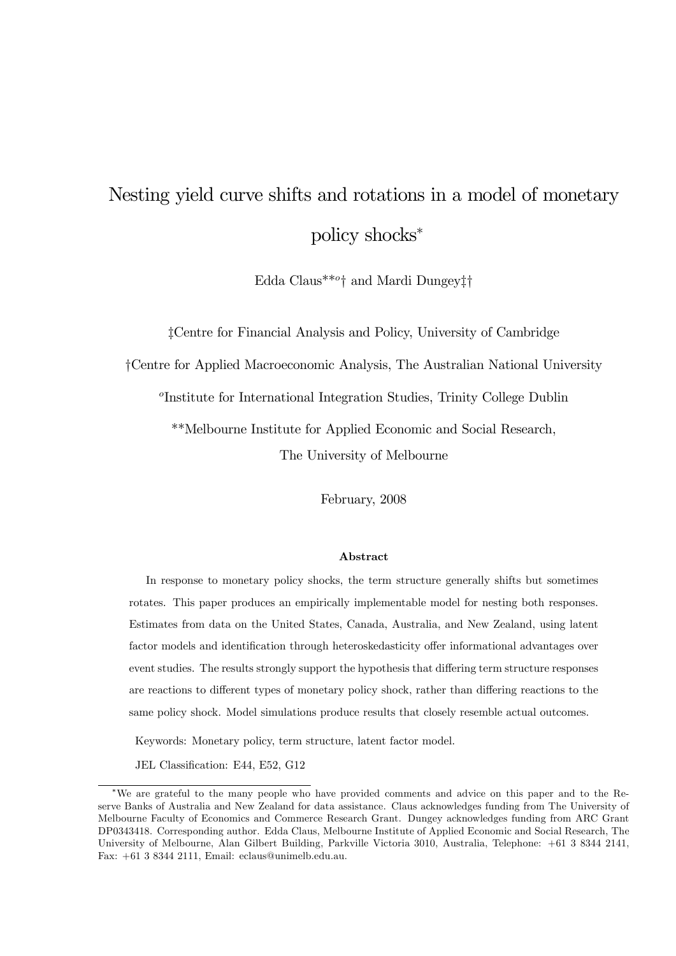# Nesting yield curve shifts and rotations in a model of monetary policy shocks<sup>∗</sup>

Edda Claus\*\*<sup>o</sup>† and Mardi Dungey‡†

‡Centre for Financial Analysis and Policy, University of Cambridge

†Centre for Applied Macroeconomic Analysis, The Australian National University

<sup>o</sup>Institute for International Integration Studies, Trinity College Dublin

\*\*Melbourne Institute for Applied Economic and Social Research,

The University of Melbourne

February, 2008

#### Abstract

In response to monetary policy shocks, the term structure generally shifts but sometimes rotates. This paper produces an empirically implementable model for nesting both responses. Estimates from data on the United States, Canada, Australia, and New Zealand, using latent factor models and identification through heteroskedasticity offer informational advantages over event studies. The results strongly support the hypothesis that differing term structure responses are reactions to different types of monetary policy shock, rather than differing reactions to the same policy shock. Model simulations produce results that closely resemble actual outcomes.

Keywords: Monetary policy, term structure, latent factor model.

JEL Classification: E44, E52, G12

<sup>∗</sup>We are grateful to the many people who have provided comments and advice on this paper and to the Reserve Banks of Australia and New Zealand for data assistance. Claus acknowledges funding from The University of Melbourne Faculty of Economics and Commerce Research Grant. Dungey acknowledges funding from ARC Grant DP0343418. Corresponding author. Edda Claus, Melbourne Institute of Applied Economic and Social Research, The University of Melbourne, Alan Gilbert Building, Parkville Victoria 3010, Australia, Telephone: +61 3 8344 2141, Fax: +61 3 8344 2111, Email: eclaus@unimelb.edu.au.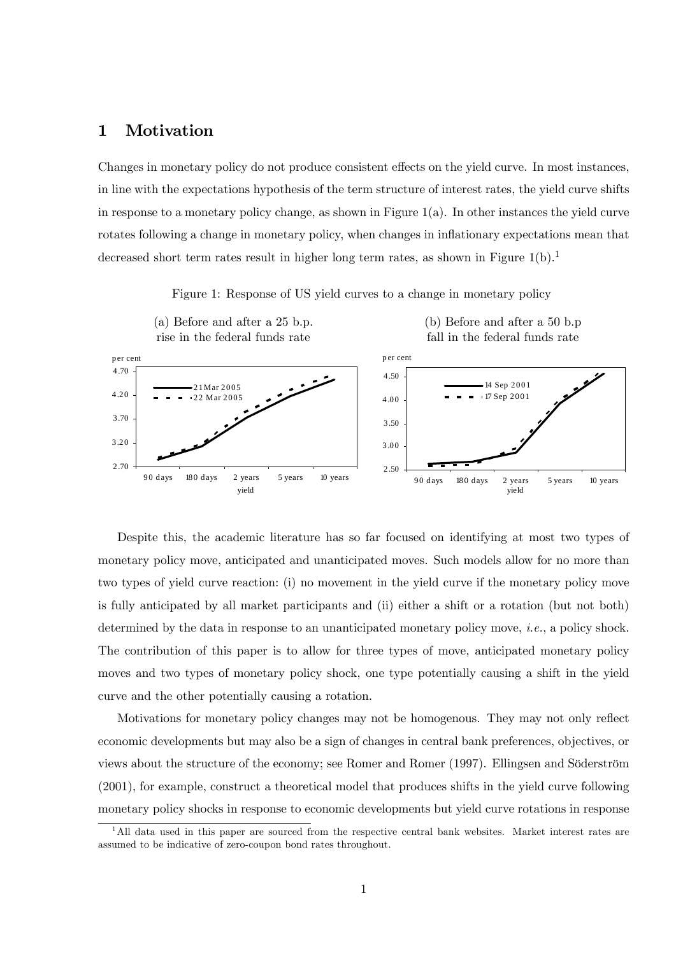## 1 Motivation

Changes in monetary policy do not produce consistent effects on the yield curve. In most instances, in line with the expectations hypothesis of the term structure of interest rates, the yield curve shifts in response to a monetary policy change, as shown in Figure 1(a). In other instances the yield curve rotates following a change in monetary policy, when changes in inflationary expectations mean that decreased short term rates result in higher long term rates, as shown in Figure  $1(b)$ .<sup>1</sup>

Figure 1: Response of US yield curves to a change in monetary policy

(a) Before and after a 25 b.p. (b) Before and after a 50 b.p



Despite this, the academic literature has so far focused on identifying at most two types of monetary policy move, anticipated and unanticipated moves. Such models allow for no more than two types of yield curve reaction: (i) no movement in the yield curve if the monetary policy move is fully anticipated by all market participants and (ii) either a shift or a rotation (but not both) determined by the data in response to an unanticipated monetary policy move, *i.e.*, a policy shock. The contribution of this paper is to allow for three types of move, anticipated monetary policy moves and two types of monetary policy shock, one type potentially causing a shift in the yield curve and the other potentially causing a rotation.

Motivations for monetary policy changes may not be homogenous. They may not only reflect economic developments but may also be a sign of changes in central bank preferences, objectives, or views about the structure of the economy; see Romer and Romer (1997). Ellingsen and Söderström (2001), for example, construct a theoretical model that produces shifts in the yield curve following monetary policy shocks in response to economic developments but yield curve rotations in response

<sup>&</sup>lt;sup>1</sup>All data used in this paper are sourced from the respective central bank websites. Market interest rates are assumed to be indicative of zero-coupon bond rates throughout.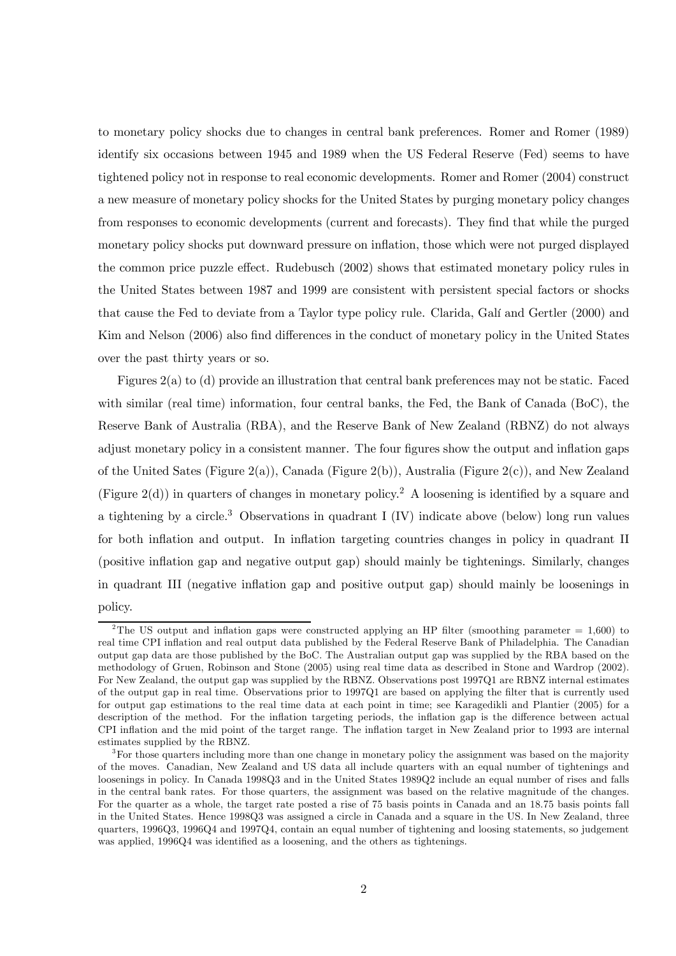to monetary policy shocks due to changes in central bank preferences. Romer and Romer (1989) identify six occasions between 1945 and 1989 when the US Federal Reserve (Fed) seems to have tightened policy not in response to real economic developments. Romer and Romer (2004) construct a new measure of monetary policy shocks for the United States by purging monetary policy changes from responses to economic developments (current and forecasts). They find that while the purged monetary policy shocks put downward pressure on inflation, those which were not purged displayed the common price puzzle effect. Rudebusch (2002) shows that estimated monetary policy rules in the United States between 1987 and 1999 are consistent with persistent special factors or shocks that cause the Fed to deviate from a Taylor type policy rule. Clarida, Galí and Gertler (2000) and Kim and Nelson (2006) also find differences in the conduct of monetary policy in the United States over the past thirty years or so.

Figures 2(a) to (d) provide an illustration that central bank preferences may not be static. Faced with similar (real time) information, four central banks, the Fed, the Bank of Canada (BoC), the Reserve Bank of Australia (RBA), and the Reserve Bank of New Zealand (RBNZ) do not always adjust monetary policy in a consistent manner. The four figures show the output and inflation gaps of the United Sates (Figure 2(a)), Canada (Figure 2(b)), Australia (Figure 2(c)), and New Zealand (Figure 2(d)) in quarters of changes in monetary policy.<sup>2</sup> A loosening is identified by a square and a tightening by a circle.<sup>3</sup> Observations in quadrant I (IV) indicate above (below) long run values for both inflation and output. In inflation targeting countries changes in policy in quadrant II (positive inflation gap and negative output gap) should mainly be tightenings. Similarly, changes in quadrant III (negative inflation gap and positive output gap) should mainly be loosenings in policy.

<sup>&</sup>lt;sup>2</sup>The US output and inflation gaps were constructed applying an HP filter (smoothing parameter = 1,600) to real time CPI inflation and real output data published by the Federal Reserve Bank of Philadelphia. The Canadian output gap data are those published by the BoC. The Australian output gap was supplied by the RBA based on the methodology of Gruen, Robinson and Stone (2005) using real time data as described in Stone and Wardrop (2002). For New Zealand, the output gap was supplied by the RBNZ. Observations post 1997Q1 are RBNZ internal estimates of the output gap in real time. Observations prior to 1997Q1 are based on applying the filter that is currently used for output gap estimations to the real time data at each point in time; see Karagedikli and Plantier (2005) for a description of the method. For the inflation targeting periods, the inflation gap is the difference between actual CPI inflation and the mid point of the target range. The inflation target in New Zealand prior to 1993 are internal estimates supplied by the RBNZ.

<sup>&</sup>lt;sup>3</sup>For those quarters including more than one change in monetary policy the assignment was based on the majority of the moves. Canadian, New Zealand and US data all include quarters with an equal number of tightenings and loosenings in policy. In Canada 1998Q3 and in the United States 1989Q2 include an equal number of rises and falls in the central bank rates. For those quarters, the assignment was based on the relative magnitude of the changes. For the quarter as a whole, the target rate posted a rise of 75 basis points in Canada and an 18.75 basis points fall in the United States. Hence 1998Q3 was assigned a circle in Canada and a square in the US. In New Zealand, three quarters, 1996Q3, 1996Q4 and 1997Q4, contain an equal number of tightening and loosing statements, so judgement was applied, 1996Q4 was identified as a loosening, and the others as tightenings.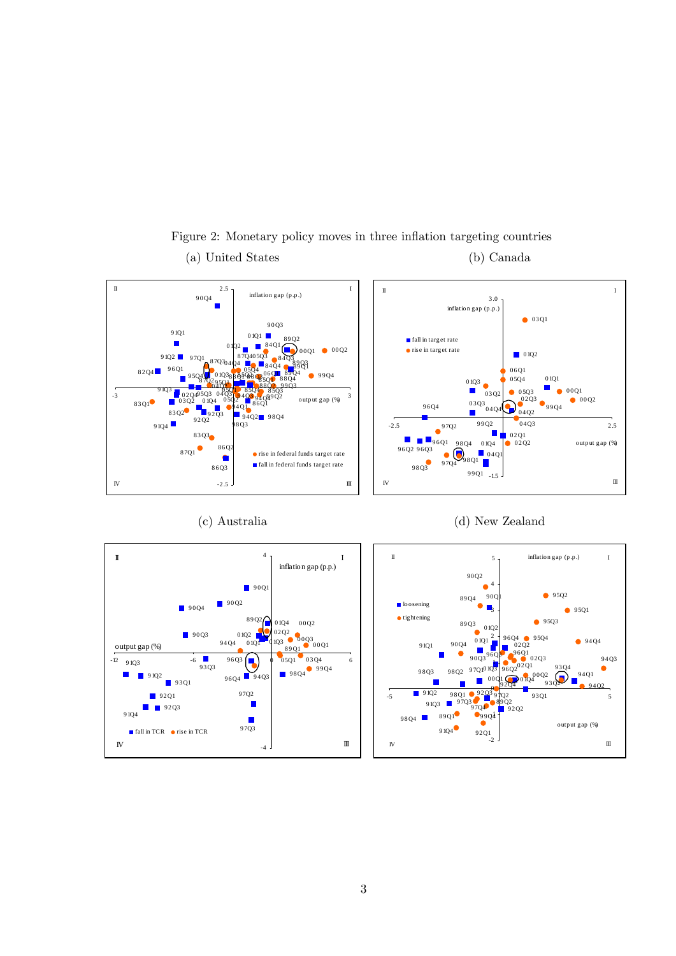

## Figure 2: Monetary policy moves in three inflation targeting countries (a) United States (b) Canada







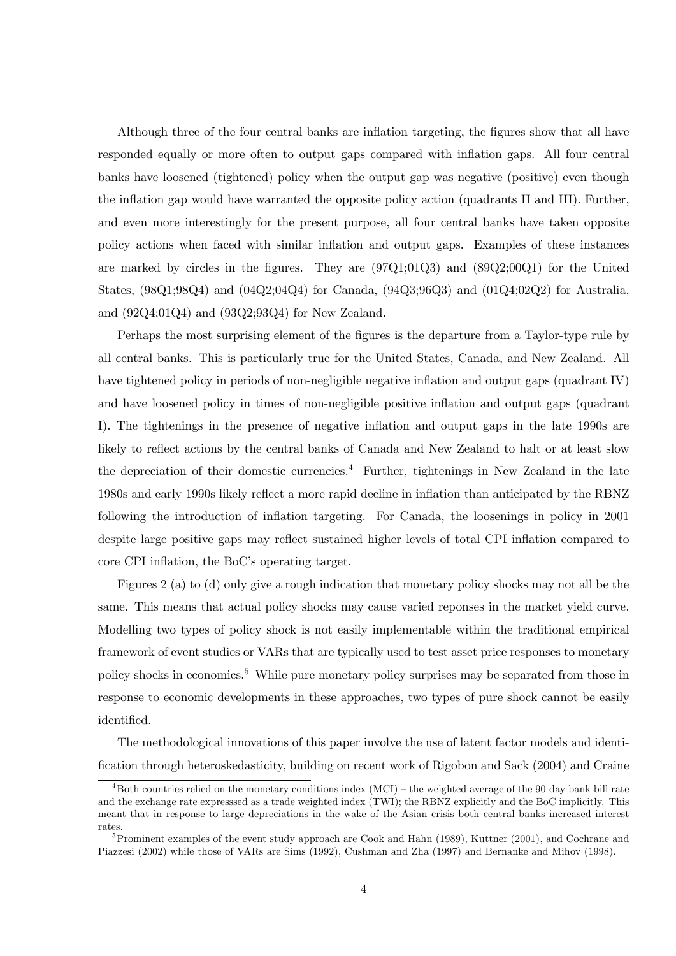Although three of the four central banks are inflation targeting, the figures show that all have responded equally or more often to output gaps compared with inflation gaps. All four central banks have loosened (tightened) policy when the output gap was negative (positive) even though the inflation gap would have warranted the opposite policy action (quadrants II and III). Further, and even more interestingly for the present purpose, all four central banks have taken opposite policy actions when faced with similar inflation and output gaps. Examples of these instances are marked by circles in the figures. They are (97Q1;01Q3) and (89Q2;00Q1) for the United States, (98Q1;98Q4) and (04Q2;04Q4) for Canada, (94Q3;96Q3) and (01Q4;02Q2) for Australia, and (92Q4;01Q4) and (93Q2;93Q4) for New Zealand.

Perhaps the most surprising element of the figures is the departure from a Taylor-type rule by all central banks. This is particularly true for the United States, Canada, and New Zealand. All have tightened policy in periods of non-negligible negative inflation and output gaps (quadrant IV) and have loosened policy in times of non-negligible positive inflation and output gaps (quadrant I). The tightenings in the presence of negative inflation and output gaps in the late 1990s are likely to reflect actions by the central banks of Canada and New Zealand to halt or at least slow the depreciation of their domestic currencies.<sup>4</sup> Further, tightenings in New Zealand in the late 1980s and early 1990s likely reflect a more rapid decline in inflation than anticipated by the RBNZ following the introduction of inflation targeting. For Canada, the loosenings in policy in 2001 despite large positive gaps may reflect sustained higher levels of total CPI inflation compared to core CPI inflation, the BoC's operating target.

Figures 2 (a) to (d) only give a rough indication that monetary policy shocks may not all be the same. This means that actual policy shocks may cause varied reponses in the market yield curve. Modelling two types of policy shock is not easily implementable within the traditional empirical framework of event studies or VARs that are typically used to test asset price responses to monetary policy shocks in economics.5 While pure monetary policy surprises may be separated from those in response to economic developments in these approaches, two types of pure shock cannot be easily identified.

The methodological innovations of this paper involve the use of latent factor models and identification through heteroskedasticity, building on recent work of Rigobon and Sack (2004) and Craine

 $4B<sup>4</sup>$ Both countries relied on the monetary conditions index (MCI) – the weighted average of the 90-day bank bill rate and the exchange rate expresssed as a trade weighted index (TWI); the RBNZ explicitly and the BoC implicitly. This meant that in response to large depreciations in the wake of the Asian crisis both central banks increased interest rates.

<sup>&</sup>lt;sup>5</sup> Prominent examples of the event study approach are Cook and Hahn (1989), Kuttner (2001), and Cochrane and Piazzesi (2002) while those of VARs are Sims (1992), Cushman and Zha (1997) and Bernanke and Mihov (1998).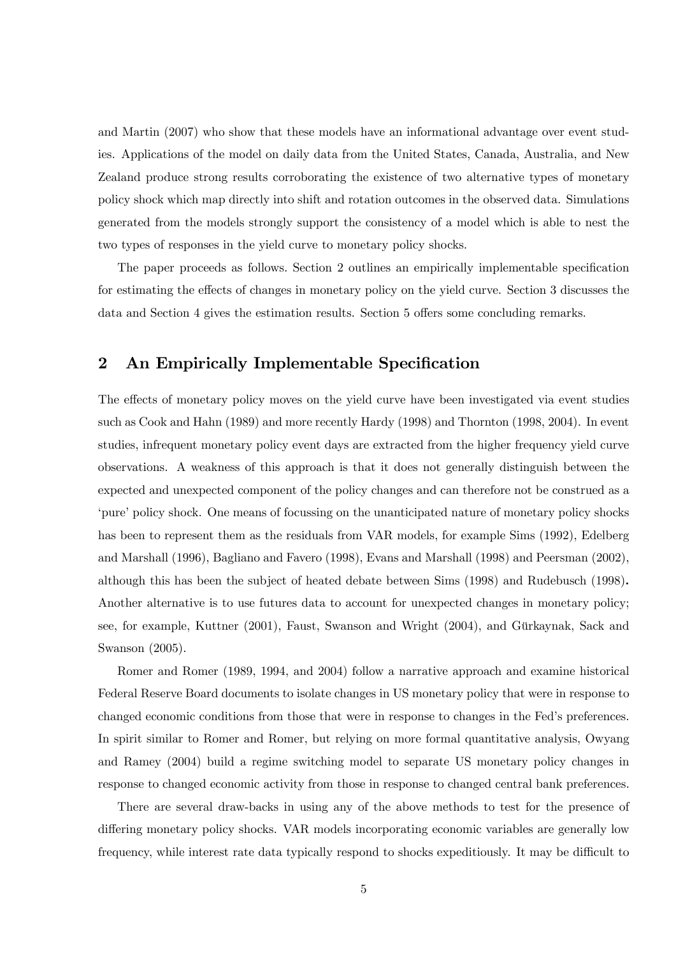and Martin (2007) who show that these models have an informational advantage over event studies. Applications of the model on daily data from the United States, Canada, Australia, and New Zealand produce strong results corroborating the existence of two alternative types of monetary policy shock which map directly into shift and rotation outcomes in the observed data. Simulations generated from the models strongly support the consistency of a model which is able to nest the two types of responses in the yield curve to monetary policy shocks.

The paper proceeds as follows. Section 2 outlines an empirically implementable specification for estimating the effects of changes in monetary policy on the yield curve. Section 3 discusses the data and Section 4 gives the estimation results. Section 5 offers some concluding remarks.

## 2 An Empirically Implementable Specification

The effects of monetary policy moves on the yield curve have been investigated via event studies such as Cook and Hahn (1989) and more recently Hardy (1998) and Thornton (1998, 2004). In event studies, infrequent monetary policy event days are extracted from the higher frequency yield curve observations. A weakness of this approach is that it does not generally distinguish between the expected and unexpected component of the policy changes and can therefore not be construed as a 'pure' policy shock. One means of focussing on the unanticipated nature of monetary policy shocks has been to represent them as the residuals from VAR models, for example Sims (1992), Edelberg and Marshall (1996), Bagliano and Favero (1998), Evans and Marshall (1998) and Peersman (2002), although this has been the subject of heated debate between Sims (1998) and Rudebusch (1998). Another alternative is to use futures data to account for unexpected changes in monetary policy; see, for example, Kuttner (2001), Faust, Swanson and Wright (2004), and Gürkaynak, Sack and Swanson (2005).

Romer and Romer (1989, 1994, and 2004) follow a narrative approach and examine historical Federal Reserve Board documents to isolate changes in US monetary policy that were in response to changed economic conditions from those that were in response to changes in the Fed's preferences. In spirit similar to Romer and Romer, but relying on more formal quantitative analysis, Owyang and Ramey (2004) build a regime switching model to separate US monetary policy changes in response to changed economic activity from those in response to changed central bank preferences.

There are several draw-backs in using any of the above methods to test for the presence of differing monetary policy shocks. VAR models incorporating economic variables are generally low frequency, while interest rate data typically respond to shocks expeditiously. It may be difficult to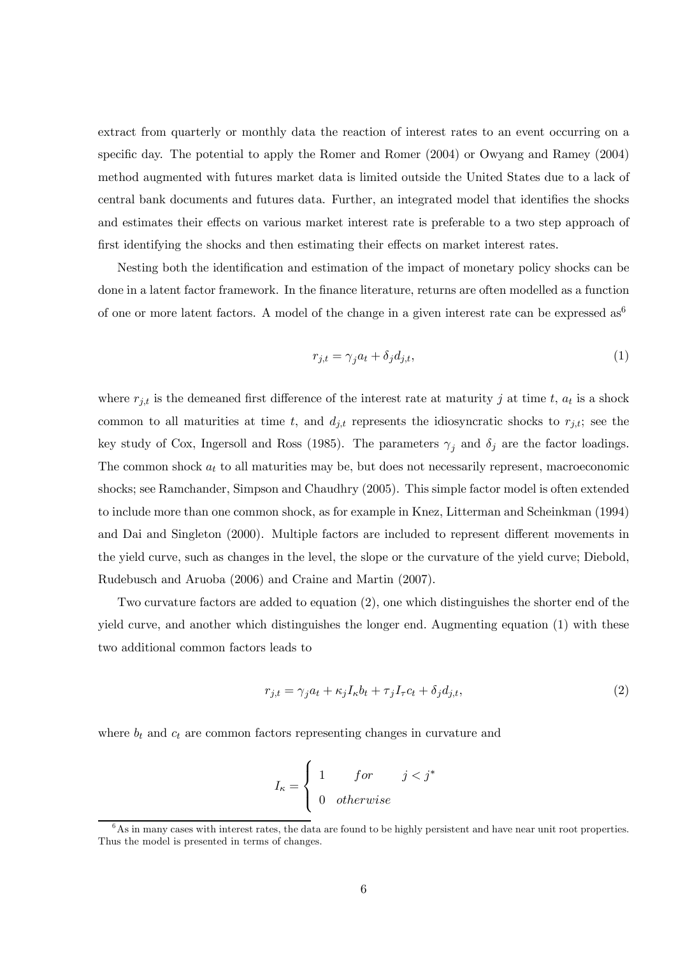extract from quarterly or monthly data the reaction of interest rates to an event occurring on a specific day. The potential to apply the Romer and Romer (2004) or Owyang and Ramey (2004) method augmented with futures market data is limited outside the United States due to a lack of central bank documents and futures data. Further, an integrated model that identifies the shocks and estimates their effects on various market interest rate is preferable to a two step approach of first identifying the shocks and then estimating their effects on market interest rates.

Nesting both the identification and estimation of the impact of monetary policy shocks can be done in a latent factor framework. In the finance literature, returns are often modelled as a function of one or more latent factors. A model of the change in a given interest rate can be expressed as<sup>6</sup>

$$
r_{j,t} = \gamma_j a_t + \delta_j d_{j,t},\tag{1}
$$

where  $r_{j,t}$  is the demeaned first difference of the interest rate at maturity j at time t,  $a_t$  is a shock common to all maturities at time t, and  $d_{j,t}$  represents the idiosyncratic shocks to  $r_{j,t}$ ; see the key study of Cox, Ingersoll and Ross (1985). The parameters  $\gamma_i$  and  $\delta_j$  are the factor loadings. The common shock  $a_t$  to all maturities may be, but does not necessarily represent, macroeconomic shocks; see Ramchander, Simpson and Chaudhry (2005). This simple factor model is often extended to include more than one common shock, as for example in Knez, Litterman and Scheinkman (1994) and Dai and Singleton (2000). Multiple factors are included to represent different movements in the yield curve, such as changes in the level, the slope or the curvature of the yield curve; Diebold, Rudebusch and Aruoba (2006) and Craine and Martin (2007).

Two curvature factors are added to equation (2), one which distinguishes the shorter end of the yield curve, and another which distinguishes the longer end. Augmenting equation (1) with these two additional common factors leads to

$$
r_{j,t} = \gamma_j a_t + \kappa_j I_\kappa b_t + \tau_j I_\tau c_t + \delta_j d_{j,t},\tag{2}
$$

where  $b_t$  and  $c_t$  are common factors representing changes in curvature and

$$
I_{\kappa} = \begin{cases} 1 & \text{for} \qquad j < j^* \\ 0 & \text{otherwise} \end{cases}
$$

 $6$ As in many cases with interest rates, the data are found to be highly persistent and have near unit root properties. Thus the model is presented in terms of changes.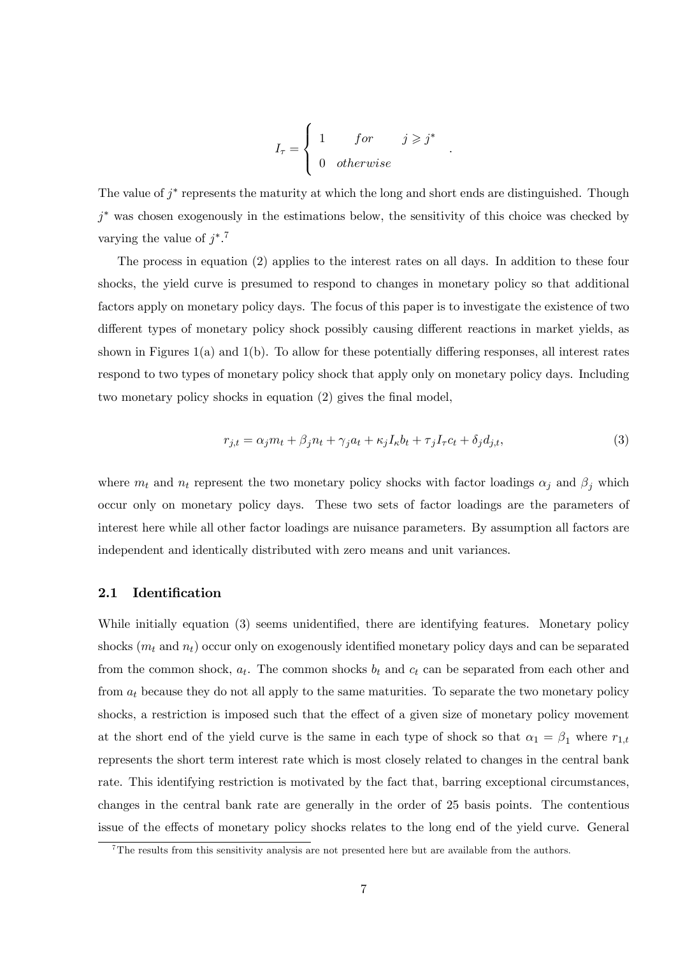$$
I_{\tau} = \begin{cases} 1 & \text{for} & j \geq j^* \\ 0 & \text{otherwise} \end{cases}.
$$

The value of  $j^*$  represents the maturity at which the long and short ends are distinguished. Though  $j^*$  was chosen exogenously in the estimations below, the sensitivity of this choice was checked by varying the value of  $j^*$ .<sup>7</sup>

The process in equation (2) applies to the interest rates on all days. In addition to these four shocks, the yield curve is presumed to respond to changes in monetary policy so that additional factors apply on monetary policy days. The focus of this paper is to investigate the existence of two different types of monetary policy shock possibly causing different reactions in market yields, as shown in Figures 1(a) and 1(b). To allow for these potentially differing responses, all interest rates respond to two types of monetary policy shock that apply only on monetary policy days. Including two monetary policy shocks in equation (2) gives the final model,

$$
r_{j,t} = \alpha_j m_t + \beta_j n_t + \gamma_j a_t + \kappa_j I_\kappa b_t + \tau_j I_\tau c_t + \delta_j d_{j,t},\tag{3}
$$

where  $m_t$  and  $n_t$  represent the two monetary policy shocks with factor loadings  $\alpha_j$  and  $\beta_j$  which occur only on monetary policy days. These two sets of factor loadings are the parameters of interest here while all other factor loadings are nuisance parameters. By assumption all factors are independent and identically distributed with zero means and unit variances.

#### 2.1 Identification

While initially equation (3) seems unidentified, there are identifying features. Monetary policy shocks  $(m_t \text{ and } n_t)$  occur only on exogenously identified monetary policy days and can be separated from the common shock,  $a_t$ . The common shocks  $b_t$  and  $c_t$  can be separated from each other and from  $a_t$  because they do not all apply to the same maturities. To separate the two monetary policy shocks, a restriction is imposed such that the effect of a given size of monetary policy movement at the short end of the yield curve is the same in each type of shock so that  $\alpha_1 = \beta_1$  where  $r_{1,t}$ represents the short term interest rate which is most closely related to changes in the central bank rate. This identifying restriction is motivated by the fact that, barring exceptional circumstances, changes in the central bank rate are generally in the order of 25 basis points. The contentious issue of the effects of monetary policy shocks relates to the long end of the yield curve. General

<sup>&</sup>lt;sup>7</sup>The results from this sensitivity analysis are not presented here but are available from the authors.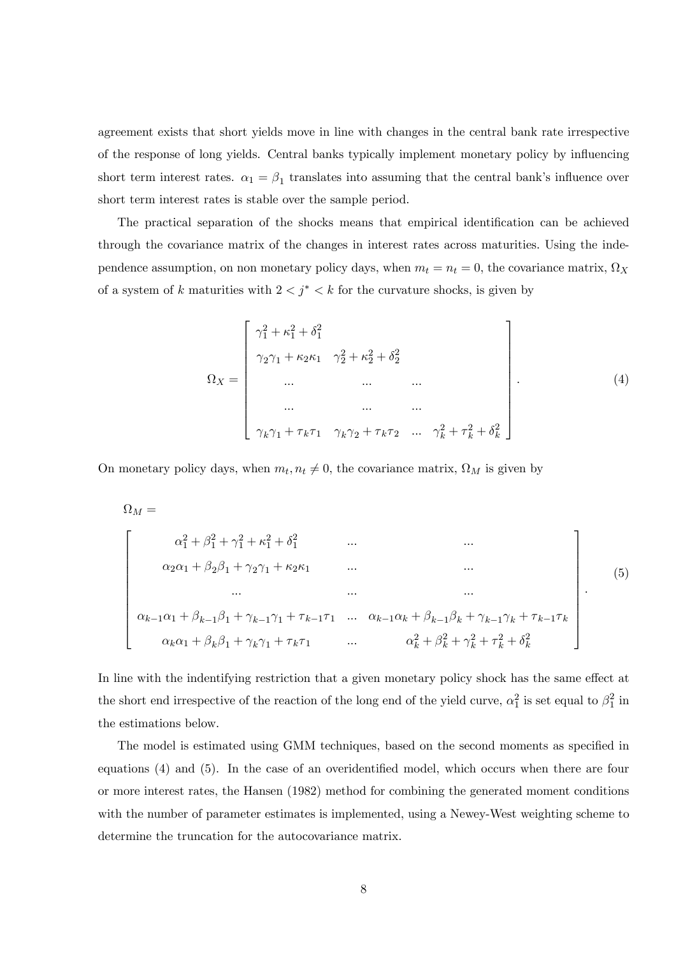agreement exists that short yields move in line with changes in the central bank rate irrespective of the response of long yields. Central banks typically implement monetary policy by influencing short term interest rates.  $\alpha_1 = \beta_1$  translates into assuming that the central bank's influence over short term interest rates is stable over the sample period.

The practical separation of the shocks means that empirical identification can be achieved through the covariance matrix of the changes in interest rates across maturities. Using the independence assumption, on non monetary policy days, when  $m_t = n_t = 0$ , the covariance matrix,  $\Omega_X$ of a system of k maturities with  $2 < j^* < k$  for the curvature shocks, is given by

$$
\Omega_X = \begin{bmatrix}\n\gamma_1^2 + \kappa_1^2 + \delta_1^2 \\
\gamma_2 \gamma_1 + \kappa_2 \kappa_1 & \gamma_2^2 + \kappa_2^2 + \delta_2^2 \\
\dots & \dots & \dots \\
\vdots & \vdots & \ddots \\
\vdots & \vdots & \ddots \\
\gamma_k \gamma_1 + \tau_k \tau_1 & \gamma_k \gamma_2 + \tau_k \tau_2 & \dots & \gamma_k^2 + \tau_k^2 + \delta_k^2\n\end{bmatrix}.
$$
\n(4)

On monetary policy days, when  $m_t, n_t \neq 0$ , the covariance matrix,  $\Omega_M$  is given by

$$
\Omega_M = \n\begin{bmatrix}\n\alpha_1^2 + \beta_1^2 + \gamma_1^2 + \kappa_1^2 + \delta_1^2 & \cdots & \cdots \\
\alpha_2 \alpha_1 + \beta_2 \beta_1 + \gamma_2 \gamma_1 + \kappa_2 \kappa_1 & \cdots & \cdots \\
\vdots & \vdots & \ddots & \vdots \\
\alpha_{k-1} \alpha_1 + \beta_{k-1} \beta_1 + \gamma_{k-1} \gamma_1 + \tau_{k-1} \tau_1 & \cdots & \alpha_{k-1} \alpha_k + \beta_{k-1} \beta_k + \gamma_{k-1} \gamma_k + \tau_{k-1} \tau_k \\
\vdots & \vdots & \ddots & \vdots \\
\alpha_k \alpha_1 + \beta_k \beta_1 + \gamma_k \gamma_1 + \tau_k \tau_1 & \cdots & \alpha_k^2 + \beta_k^2 + \gamma_k^2 + \tau_k^2 + \delta_k^2\n\end{bmatrix}.\n\tag{5}
$$

In line with the indentifying restriction that a given monetary policy shock has the same effect at the short end irrespective of the reaction of the long end of the yield curve,  $\alpha_1^2$  is set equal to  $\beta_1^2$  in the estimations below.

The model is estimated using GMM techniques, based on the second moments as specified in equations (4) and (5). In the case of an overidentified model, which occurs when there are four or more interest rates, the Hansen (1982) method for combining the generated moment conditions with the number of parameter estimates is implemented, using a Newey-West weighting scheme to determine the truncation for the autocovariance matrix.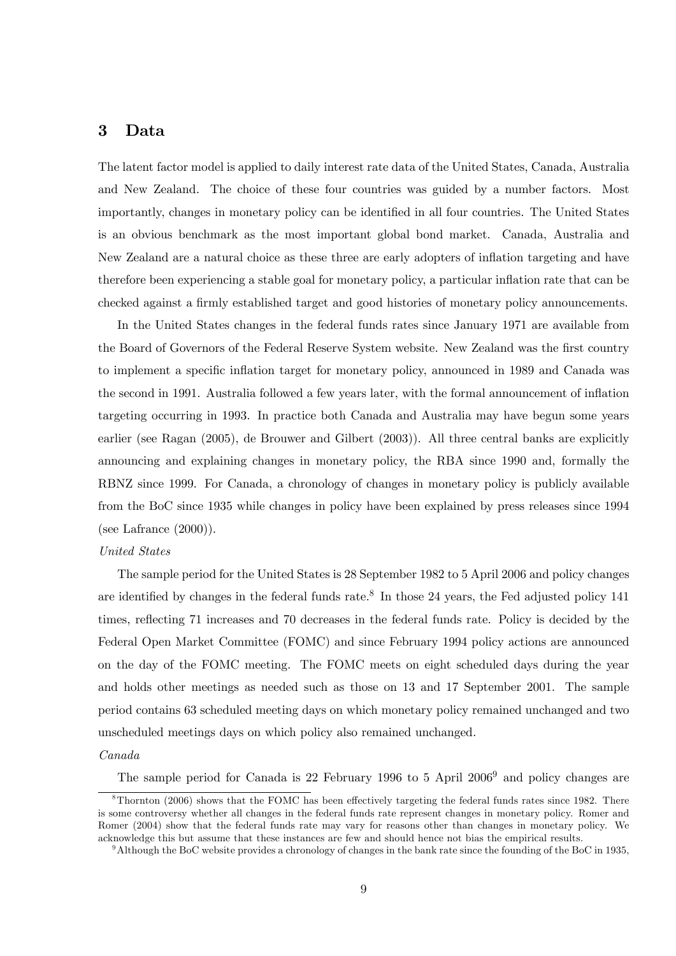## 3 Data

The latent factor model is applied to daily interest rate data of the United States, Canada, Australia and New Zealand. The choice of these four countries was guided by a number factors. Most importantly, changes in monetary policy can be identified in all four countries. The United States is an obvious benchmark as the most important global bond market. Canada, Australia and New Zealand are a natural choice as these three are early adopters of inflation targeting and have therefore been experiencing a stable goal for monetary policy, a particular inflation rate that can be checked against a firmly established target and good histories of monetary policy announcements.

In the United States changes in the federal funds rates since January 1971 are available from the Board of Governors of the Federal Reserve System website. New Zealand was the first country to implement a specific inflation target for monetary policy, announced in 1989 and Canada was the second in 1991. Australia followed a few years later, with the formal announcement of inflation targeting occurring in 1993. In practice both Canada and Australia may have begun some years earlier (see Ragan (2005), de Brouwer and Gilbert (2003)). All three central banks are explicitly announcing and explaining changes in monetary policy, the RBA since 1990 and, formally the RBNZ since 1999. For Canada, a chronology of changes in monetary policy is publicly available from the BoC since 1935 while changes in policy have been explained by press releases since 1994 (see Lafrance (2000)).

#### United States

The sample period for the United States is 28 September 1982 to 5 April 2006 and policy changes are identified by changes in the federal funds rate.<sup>8</sup> In those 24 years, the Fed adjusted policy 141 times, reflecting 71 increases and 70 decreases in the federal funds rate. Policy is decided by the Federal Open Market Committee (FOMC) and since February 1994 policy actions are announced on the day of the FOMC meeting. The FOMC meets on eight scheduled days during the year and holds other meetings as needed such as those on 13 and 17 September 2001. The sample period contains 63 scheduled meeting days on which monetary policy remained unchanged and two unscheduled meetings days on which policy also remained unchanged.

#### Canada

The sample period for Canada is 22 February 1996 to 5 April 2006<sup>9</sup> and policy changes are

 $8$ Thornton (2006) shows that the FOMC has been effectively targeting the federal funds rates since 1982. There is some controversy whether all changes in the federal funds rate represent changes in monetary policy. Romer and Romer (2004) show that the federal funds rate may vary for reasons other than changes in monetary policy. We acknowledge this but assume that these instances are few and should hence not bias the empirical results.

 $9$ Although the BoC website provides a chronology of changes in the bank rate since the founding of the BoC in 1935,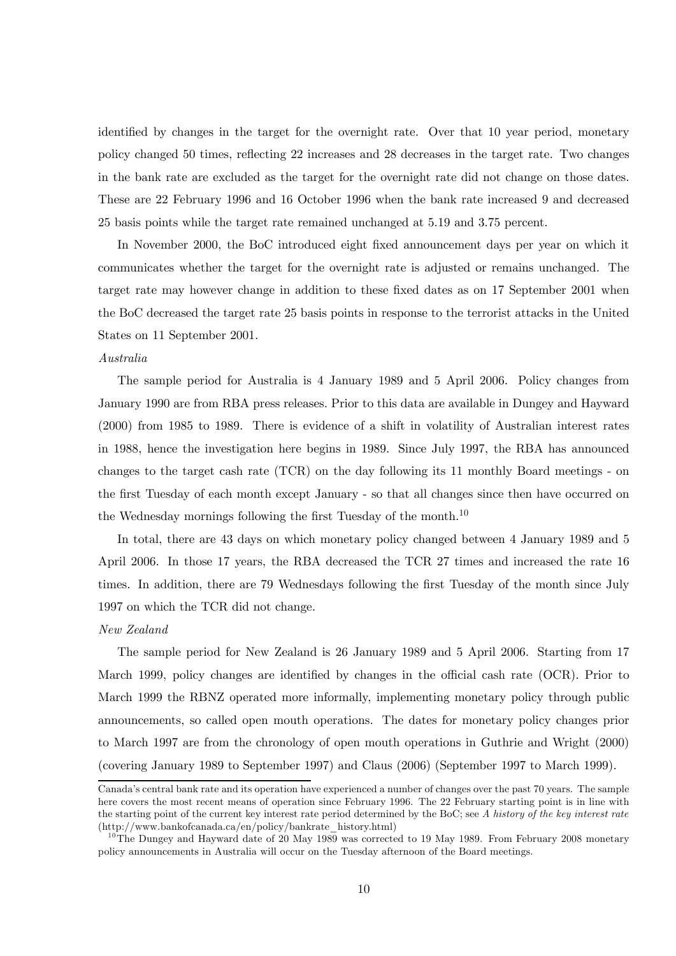identified by changes in the target for the overnight rate. Over that 10 year period, monetary policy changed 50 times, reflecting 22 increases and 28 decreases in the target rate. Two changes in the bank rate are excluded as the target for the overnight rate did not change on those dates. These are 22 February 1996 and 16 October 1996 when the bank rate increased 9 and decreased 25 basis points while the target rate remained unchanged at 5.19 and 3.75 percent.

In November 2000, the BoC introduced eight fixed announcement days per year on which it communicates whether the target for the overnight rate is adjusted or remains unchanged. The target rate may however change in addition to these fixed dates as on 17 September 2001 when the BoC decreased the target rate 25 basis points in response to the terrorist attacks in the United States on 11 September 2001.

#### Australia

The sample period for Australia is 4 January 1989 and 5 April 2006. Policy changes from January 1990 are from RBA press releases. Prior to this data are available in Dungey and Hayward (2000) from 1985 to 1989. There is evidence of a shift in volatility of Australian interest rates in 1988, hence the investigation here begins in 1989. Since July 1997, the RBA has announced changes to the target cash rate (TCR) on the day following its 11 monthly Board meetings - on the first Tuesday of each month except January - so that all changes since then have occurred on the Wednesday mornings following the first Tuesday of the month.<sup>10</sup>

In total, there are 43 days on which monetary policy changed between 4 January 1989 and 5 April 2006. In those 17 years, the RBA decreased the TCR 27 times and increased the rate 16 times. In addition, there are 79 Wednesdays following the first Tuesday of the month since July 1997 on which the TCR did not change.

#### New Zealand

The sample period for New Zealand is 26 January 1989 and 5 April 2006. Starting from 17 March 1999, policy changes are identified by changes in the official cash rate (OCR). Prior to March 1999 the RBNZ operated more informally, implementing monetary policy through public announcements, so called open mouth operations. The dates for monetary policy changes prior to March 1997 are from the chronology of open mouth operations in Guthrie and Wright (2000) (covering January 1989 to September 1997) and Claus (2006) (September 1997 to March 1999).

Canada's central bank rate and its operation have experienced a number of changes over the past 70 years. The sample here covers the most recent means of operation since February 1996. The 22 February starting point is in line with the starting point of the current key interest rate period determined by the BoC; see A history of the key interest rate (http://www.bankofcanada.ca/en/policy/bankrate\_history.html)

<sup>&</sup>lt;sup>10</sup>The Dungey and Hayward date of 20 May 1989 was corrected to 19 May 1989. From February 2008 monetary policy announcements in Australia will occur on the Tuesday afternoon of the Board meetings.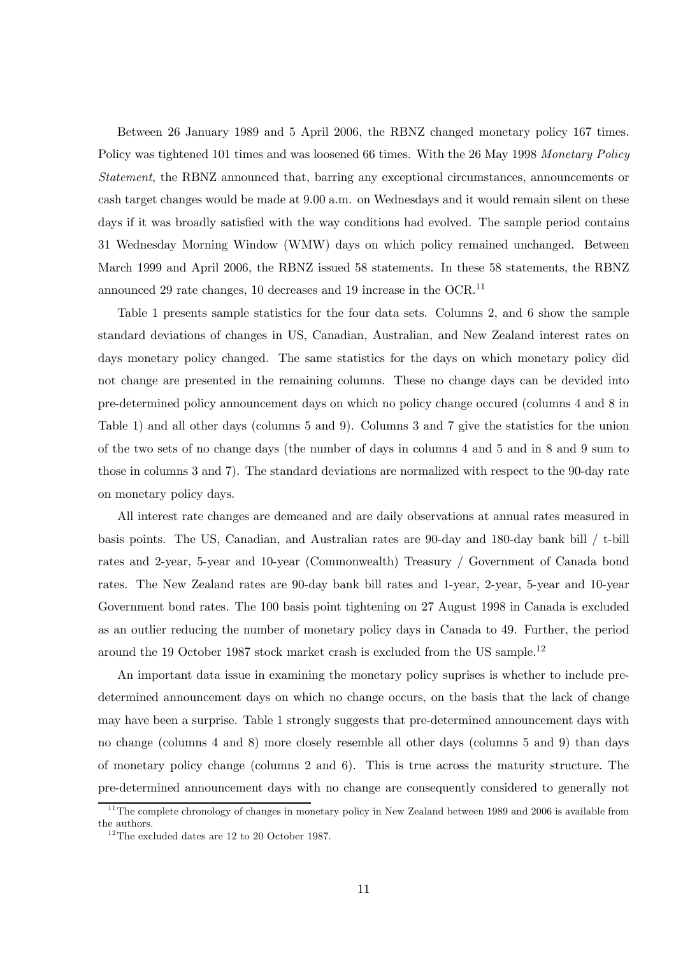Between 26 January 1989 and 5 April 2006, the RBNZ changed monetary policy 167 times. Policy was tightened 101 times and was loosened 66 times. With the 26 May 1998 Monetary Policy Statement, the RBNZ announced that, barring any exceptional circumstances, announcements or cash target changes would be made at 9.00 a.m. on Wednesdays and it would remain silent on these days if it was broadly satisfied with the way conditions had evolved. The sample period contains 31 Wednesday Morning Window (WMW) days on which policy remained unchanged. Between March 1999 and April 2006, the RBNZ issued 58 statements. In these 58 statements, the RBNZ announced 29 rate changes, 10 decreases and 19 increase in the OCR.<sup>11</sup>

Table 1 presents sample statistics for the four data sets. Columns 2, and 6 show the sample standard deviations of changes in US, Canadian, Australian, and New Zealand interest rates on days monetary policy changed. The same statistics for the days on which monetary policy did not change are presented in the remaining columns. These no change days can be devided into pre-determined policy announcement days on which no policy change occured (columns 4 and 8 in Table 1) and all other days (columns 5 and 9). Columns 3 and 7 give the statistics for the union of the two sets of no change days (the number of days in columns 4 and 5 and in 8 and 9 sum to those in columns 3 and 7). The standard deviations are normalized with respect to the 90-day rate on monetary policy days.

All interest rate changes are demeaned and are daily observations at annual rates measured in basis points. The US, Canadian, and Australian rates are 90-day and 180-day bank bill / t-bill rates and 2-year, 5-year and 10-year (Commonwealth) Treasury / Government of Canada bond rates. The New Zealand rates are 90-day bank bill rates and 1-year, 2-year, 5-year and 10-year Government bond rates. The 100 basis point tightening on 27 August 1998 in Canada is excluded as an outlier reducing the number of monetary policy days in Canada to 49. Further, the period around the 19 October 1987 stock market crash is excluded from the US sample.12

An important data issue in examining the monetary policy suprises is whether to include predetermined announcement days on which no change occurs, on the basis that the lack of change may have been a surprise. Table 1 strongly suggests that pre-determined announcement days with no change (columns 4 and 8) more closely resemble all other days (columns 5 and 9) than days of monetary policy change (columns 2 and 6). This is true across the maturity structure. The pre-determined announcement days with no change are consequently considered to generally not

 $11$ <sup>The complete chronology of changes in monetary policy in New Zealand between 1989 and 2006 is available from</sup> the authors.

 $12$  The excluded dates are 12 to 20 October 1987.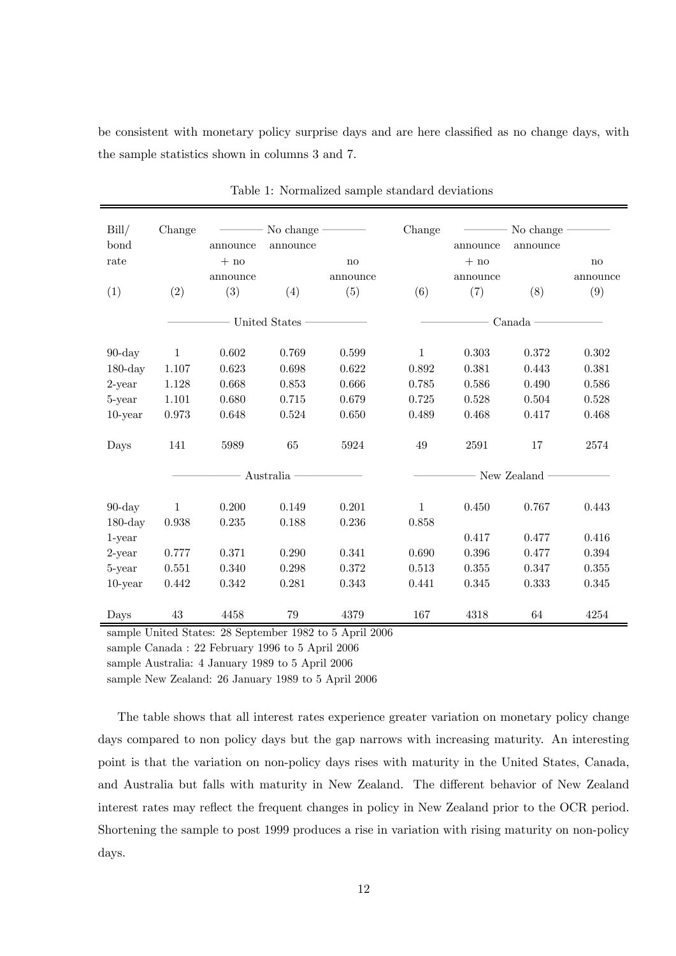be consistent with monetary policy surprise days and are here classified as no change days, with the sample statistics shown in columns 3 and 7.

| Bill/<br>bond<br>rate | Change        | announce<br>$+ no$<br>announce | No change<br>announce | no<br>announce | Change       | announce<br>$+ no$<br>announce | No change<br>announce | $\mathbf{n}\mathbf{o}$<br>announce |  |  |
|-----------------------|---------------|--------------------------------|-----------------------|----------------|--------------|--------------------------------|-----------------------|------------------------------------|--|--|
| (1)                   | (2)           | (3)                            | (4)                   | (5)            | (6)          | (7)                            | (8)                   | (9)                                |  |  |
|                       | United States |                                |                       |                | Canada       |                                |                       |                                    |  |  |
| $90$ -day             | $\mathbf{1}$  | 0.602                          | 0.769                 | 0.599          | $\mathbf{1}$ | 0.303                          | 0.372                 | 0.302                              |  |  |
| $180$ -day            | 1.107         | 0.623                          | 0.698                 | 0.622          | 0.892        | 0.381                          | 0.443                 | 0.381                              |  |  |
| $2$ -year             | 1.128         | 0.668                          | 0.853                 | 0.666          | 0.785        | 0.586                          | 0.490                 | 0.586                              |  |  |
| 5-year                | 1.101         | 0.680                          | 0.715                 | 0.679          | 0.725        | 0.528                          | 0.504                 | 0.528                              |  |  |
| $10$ -year            | 0.973         | 0.648                          | 0.524                 | 0.650          | 0.489        | 0.468                          | 0.417                 | 0.468                              |  |  |
| Days                  | 141           | 5989                           | 65                    | 5924           | 49           | 2591                           | 17                    | 2574                               |  |  |
|                       |               |                                | Australia             |                |              |                                | New Zealand           |                                    |  |  |
| $90$ -day             | $\mathbf{1}$  | 0.200                          | 0.149                 | 0.201          | $\mathbf{1}$ | 0.450                          | 0.767                 | 0.443                              |  |  |
| $180$ -day            | 0.938         | 0.235                          | 0.188                 | 0.236          | 0.858        |                                |                       |                                    |  |  |
| $1$ -year             |               |                                |                       |                |              | 0.417                          | 0.477                 | 0.416                              |  |  |
| $2$ -year             | 0.777         | 0.371                          | 0.290                 | 0.341          | 0.690        | 0.396                          | 0.477                 | 0.394                              |  |  |
| 5-year                | 0.551         | 0.340                          | 0.298                 | 0.372          | 0.513        | 0.355                          | 0.347                 | 0.355                              |  |  |
| $10$ -year            | 0.442         | 0.342                          | 0.281                 | 0.343          | 0.441        | 0.345                          | 0.333                 | 0.345                              |  |  |
| Days                  | 43            | 4458                           | 79                    | 4379           | 167          | 4318                           | 64                    | 4254                               |  |  |

Table 1: Normalized sample standard deviations

sample United States: 28 September 1982 to 5 April 2006

sample Canada : 22 February 1996 to 5 April 2006

sample Australia: 4 January 1989 to 5 April 2006

sample New Zealand: 26 January 1989 to 5 April 2006

The table shows that all interest rates experience greater variation on monetary policy change days compared to non policy days but the gap narrows with increasing maturity. An interesting point is that the variation on non-policy days rises with maturity in the United States, Canada, and Australia but falls with maturity in New Zealand. The different behavior of New Zealand interest rates may reflect the frequent changes in policy in New Zealand prior to the OCR period. Shortening the sample to post 1999 produces a rise in variation with rising maturity on non-policy days.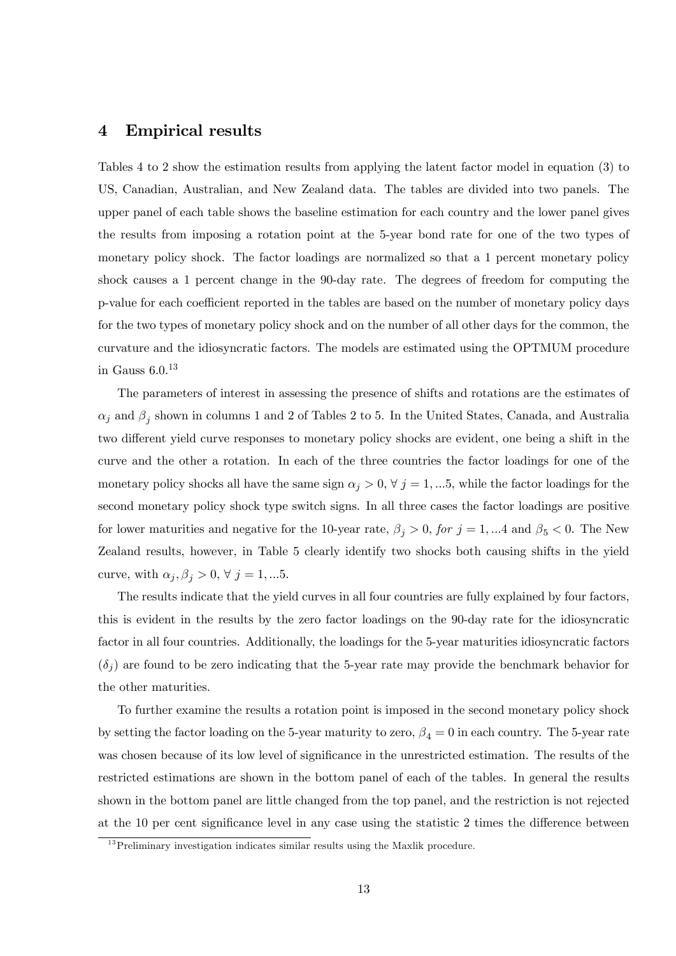### 4 Empirical results

Tables 4 to 2 show the estimation results from applying the latent factor model in equation (3) to US, Canadian, Australian, and New Zealand data. The tables are divided into two panels. The upper panel of each table shows the baseline estimation for each country and the lower panel gives the results from imposing a rotation point at the 5-year bond rate for one of the two types of monetary policy shock. The factor loadings are normalized so that a 1 percent monetary policy shock causes a 1 percent change in the 90-day rate. The degrees of freedom for computing the p-value for each coefficient reported in the tables are based on the number of monetary policy days for the two types of monetary policy shock and on the number of all other days for the common, the curvature and the idiosyncratic factors. The models are estimated using the OPTMUM procedure in Gauss  $6.0^{13}$ 

The parameters of interest in assessing the presence of shifts and rotations are the estimates of  $\alpha_j$  and  $\beta_j$  shown in columns 1 and 2 of Tables 2 to 5. In the United States, Canada, and Australia two different yield curve responses to monetary policy shocks are evident, one being a shift in the curve and the other a rotation. In each of the three countries the factor loadings for one of the monetary policy shocks all have the same sign  $\alpha_j > 0$ ,  $\forall j = 1,...5$ , while the factor loadings for the second monetary policy shock type switch signs. In all three cases the factor loadings are positive for lower maturities and negative for the 10-year rate,  $\beta_j > 0$ , for  $j = 1, ...4$  and  $\beta_5 < 0$ . The New Zealand results, however, in Table 5 clearly identify two shocks both causing shifts in the yield curve, with  $\alpha_j, \beta_j > 0, \forall j = 1, \dots 5$ .

The results indicate that the yield curves in all four countries are fully explained by four factors, this is evident in the results by the zero factor loadings on the 90-day rate for the idiosyncratic factor in all four countries. Additionally, the loadings for the 5-year maturities idiosyncratic factors  $(\delta_i)$  are found to be zero indicating that the 5-year rate may provide the benchmark behavior for the other maturities.

To further examine the results a rotation point is imposed in the second monetary policy shock by setting the factor loading on the 5-year maturity to zero,  $\beta_4 = 0$  in each country. The 5-year rate was chosen because of its low level of significance in the unrestricted estimation. The results of the restricted estimations are shown in the bottom panel of each of the tables. In general the results shown in the bottom panel are little changed from the top panel, and the restriction is not rejected at the 10 per cent significance level in any case using the statistic 2 times the difference between

 $13$  Preliminary investigation indicates similar results using the Maxlik procedure.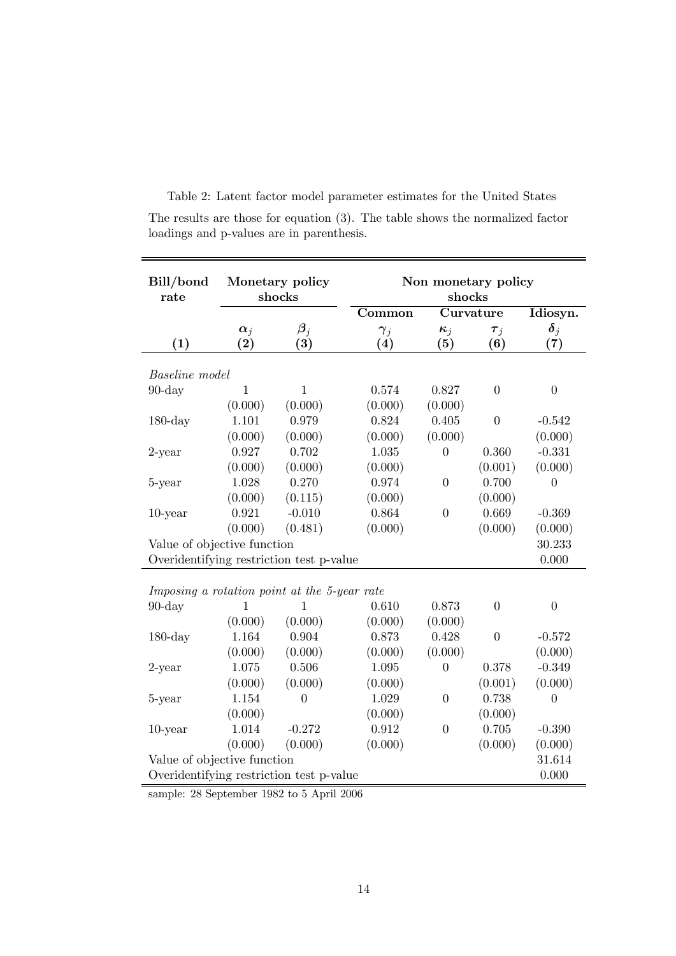| Bill/bond<br>rate                            | Monetary policy<br>shocks                                                         |                        | Non monetary policy<br>shocks |                  |                  |                         |  |  |
|----------------------------------------------|-----------------------------------------------------------------------------------|------------------------|-------------------------------|------------------|------------------|-------------------------|--|--|
|                                              |                                                                                   |                        | Common                        |                  | Curvature        | Idiosyn.                |  |  |
|                                              | $\alpha_j$                                                                        | $\boldsymbol{\beta}_i$ | $\gamma_j$                    | $\kappa_j$       | $\tau_j$         | $\boldsymbol{\delta}_j$ |  |  |
| (1)                                          | $\bf(2)$                                                                          | (3)                    | (4)                           | (5)              | (6)              | (7)                     |  |  |
|                                              |                                                                                   |                        |                               |                  |                  |                         |  |  |
| <b>Baseline</b> model                        |                                                                                   |                        |                               |                  |                  |                         |  |  |
| $90$ -day                                    | $\mathbf{1}$                                                                      | $\mathbf{1}$           | 0.574                         | 0.827            | $\boldsymbol{0}$ | $\boldsymbol{0}$        |  |  |
|                                              | (0.000)                                                                           | (0.000)                | (0.000)                       | (0.000)          |                  |                         |  |  |
| $180$ -day                                   | 1.101                                                                             | 0.979                  | 0.824                         | 0.405            | $\boldsymbol{0}$ | $-0.542$                |  |  |
|                                              | (0.000)                                                                           | (0.000)                | (0.000)                       | (0.000)          |                  | (0.000)                 |  |  |
| $2$ -year                                    | 0.927                                                                             | 0.702                  | 1.035                         | $\theta$         | 0.360            | $-0.331$                |  |  |
|                                              | (0.000)                                                                           | (0.000)                | (0.000)                       |                  | (0.001)          | (0.000)                 |  |  |
| 5-year                                       | 1.028                                                                             | 0.270                  | 0.974                         | $\overline{0}$   | 0.700            | $\overline{0}$          |  |  |
|                                              | (0.000)                                                                           | (0.115)                | (0.000)                       |                  | (0.000)          |                         |  |  |
| $10$ -year                                   | 0.921                                                                             | $-0.010$               | 0.864                         | $\overline{0}$   | 0.669            | $-0.369$                |  |  |
|                                              | (0.000)                                                                           | (0.481)                | (0.000)                       |                  | (0.000)          | (0.000)                 |  |  |
| Value of objective function                  |                                                                                   |                        |                               |                  |                  |                         |  |  |
| Overidentifying restriction test p-value     |                                                                                   |                        |                               |                  |                  | 30.233<br>0.000         |  |  |
|                                              |                                                                                   |                        |                               |                  |                  |                         |  |  |
| Imposing a rotation point at the 5-year rate |                                                                                   |                        |                               |                  |                  |                         |  |  |
| $90$ -day                                    | 1                                                                                 | 1                      | 0.610                         | 0.873            | $\overline{0}$   | $\overline{0}$          |  |  |
|                                              | (0.000)                                                                           | (0.000)                | (0.000)                       | (0.000)          |                  |                         |  |  |
| $180$ -day                                   | 1.164                                                                             | 0.904                  | 0.873                         | 0.428            | $\overline{0}$   | $-0.572$                |  |  |
|                                              | (0.000)                                                                           | (0.000)                | (0.000)                       | (0.000)          |                  | (0.000)                 |  |  |
| $2$ -year                                    | 1.075                                                                             | 0.506                  | 1.095                         | $\overline{0}$   | 0.378            | $-0.349$                |  |  |
|                                              | (0.000)                                                                           | (0.000)                | (0.000)                       |                  | (0.001)          | (0.000)                 |  |  |
| 5-year                                       | 1.154                                                                             | $\boldsymbol{0}$       | 1.029                         | $\boldsymbol{0}$ | 0.738            | $\theta$                |  |  |
|                                              | (0.000)                                                                           |                        | (0.000)                       |                  | (0.000)          |                         |  |  |
| $10$ -year                                   | 1.014                                                                             | $-0.272$               | 0.912                         | $\theta$         | 0.705            | $-0.390$                |  |  |
|                                              | (0.000)                                                                           | (0.000)                | (0.000)                       |                  | (0.000)          | (0.000)                 |  |  |
|                                              |                                                                                   |                        |                               |                  |                  |                         |  |  |
|                                              | Value of objective function<br>31.614<br>Overidentifying restriction test p-value |                        |                               |                  |                  |                         |  |  |
|                                              |                                                                                   |                        |                               |                  |                  | 0.000                   |  |  |

Table 2: Latent factor model parameter estimates for the United States The results are those for equation (3). The table shows the normalized factor loadings and p-values are in parenthesis.

sample: 28 September 1982 to 5 April 2006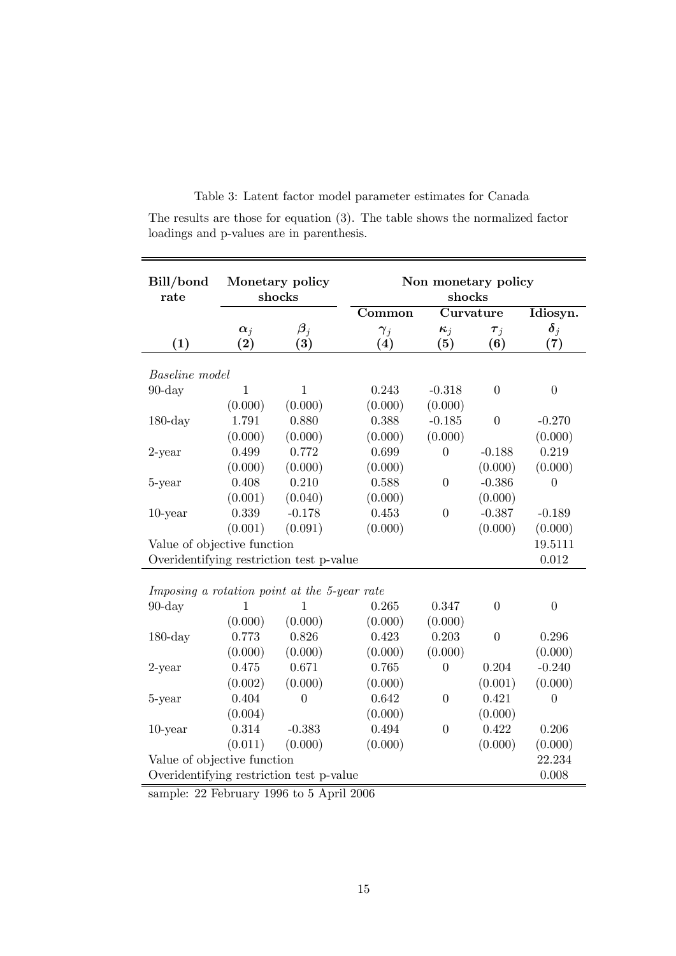|  |  |  |  | Table 3: Latent factor model parameter estimates for Canada |  |  |  |
|--|--|--|--|-------------------------------------------------------------|--|--|--|
|--|--|--|--|-------------------------------------------------------------|--|--|--|

The results are those for equation (3). The table shows the normalized factor loadings and p-values are in parenthesis.

| Bill/bond<br>rate                            | Monetary policy<br>shocks                         |                        |                              | Non monetary policy<br>shocks |                       |                   |  |  |  |
|----------------------------------------------|---------------------------------------------------|------------------------|------------------------------|-------------------------------|-----------------------|-------------------|--|--|--|
|                                              |                                                   |                        | $\overline{\textbf{Common}}$ |                               | Curvature             | Idiosyn.          |  |  |  |
|                                              | $\alpha_j$                                        | $\boldsymbol{\beta}_i$ | $\gamma_j$                   | $\kappa_j$                    | $\boldsymbol{\tau}_j$ | $\delta_j$        |  |  |  |
| (1)                                          | $\rm(2)$                                          | $\left( 3\right)$      | (4)                          | (5)                           | (6)                   | $\left( 7\right)$ |  |  |  |
|                                              | <b>Baseline</b> model                             |                        |                              |                               |                       |                   |  |  |  |
| $90$ -day                                    | 1                                                 | 1                      | 0.243                        | $-0.318$                      | $\overline{0}$        | $\overline{0}$    |  |  |  |
|                                              | (0.000)                                           | (0.000)                | (0.000)                      | (0.000)                       |                       |                   |  |  |  |
| $180$ -day                                   | 1.791                                             | 0.880                  | 0.388                        | $-0.185$                      | $\theta$              | $-0.270$          |  |  |  |
|                                              | (0.000)                                           | (0.000)                | (0.000)                      | (0.000)                       |                       | (0.000)           |  |  |  |
| $2$ -year                                    | 0.499                                             | 0.772                  | 0.699                        | $\overline{0}$                | $-0.188$              | 0.219             |  |  |  |
|                                              | (0.000)                                           | (0.000)                | (0.000)                      |                               | (0.000)               | (0.000)           |  |  |  |
| 5-year                                       | 0.408                                             | 0.210                  | 0.588                        | $\overline{0}$                | $-0.386$              | $\theta$          |  |  |  |
|                                              | (0.001)                                           | (0.040)                | (0.000)                      |                               | (0.000)               |                   |  |  |  |
| $10$ -year                                   | 0.339                                             | $-0.178$               | 0.453                        | $\overline{0}$                | $-0.387$              | $-0.189$          |  |  |  |
|                                              | (0.001)                                           | (0.091)                | (0.000)                      |                               | (0.000)               | (0.000)           |  |  |  |
| Value of objective function                  |                                                   |                        |                              |                               |                       | 19.5111           |  |  |  |
| Overidentifying restriction test p-value     |                                                   |                        |                              |                               |                       | 0.012             |  |  |  |
|                                              |                                                   |                        |                              |                               |                       |                   |  |  |  |
| Imposing a rotation point at the 5-year rate |                                                   |                        |                              |                               |                       |                   |  |  |  |
| $90$ -day                                    | 1                                                 | 1                      | 0.265                        | 0.347                         | $\overline{0}$        | $\overline{0}$    |  |  |  |
|                                              | (0.000)                                           | (0.000)                | (0.000)                      | (0.000)                       |                       |                   |  |  |  |
| $180$ -day                                   | 0.773                                             | 0.826                  | 0.423                        | 0.203                         | $\theta$              | 0.296             |  |  |  |
|                                              | (0.000)                                           | (0.000)                | (0.000)                      | (0.000)                       |                       | (0.000)           |  |  |  |
| $2$ -year                                    | 0.475                                             | 0.671                  | 0.765                        | $\theta$                      | 0.204                 | $-0.240$          |  |  |  |
|                                              | (0.002)                                           | (0.000)                | (0.000)                      |                               | (0.001)               | (0.000)           |  |  |  |
| 5-year                                       | 0.404                                             | $\boldsymbol{0}$       | 0.642                        | $\boldsymbol{0}$              | 0.421                 | $\overline{0}$    |  |  |  |
|                                              | (0.004)                                           |                        | (0.000)                      |                               | (0.000)               |                   |  |  |  |
| $10$ -year                                   | 0.314                                             | $-0.383$               | 0.494                        | $\overline{0}$                | 0.422                 | 0.206             |  |  |  |
|                                              | (0.011)                                           | (0.000)                | (0.000)                      |                               | (0.000)               | (0.000)           |  |  |  |
| Value of objective function                  |                                                   |                        |                              |                               |                       | 22.234            |  |  |  |
|                                              | 0.008<br>Overidentifying restriction test p-value |                        |                              |                               |                       |                   |  |  |  |
|                                              |                                                   |                        |                              |                               |                       |                   |  |  |  |

sample: 22 February 1996 to 5 April 2006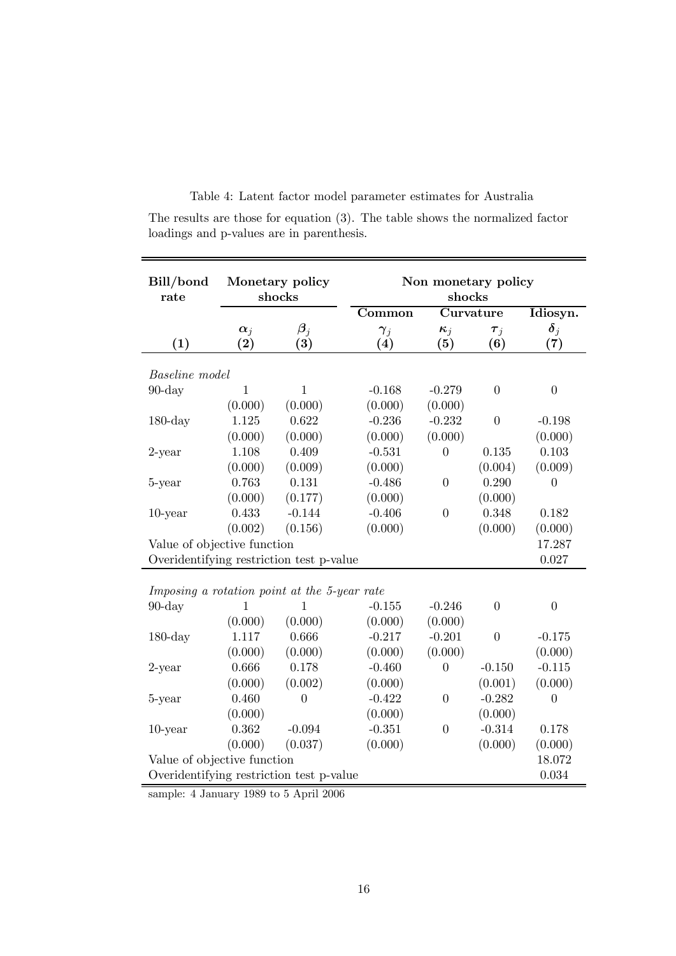| Bill/bond<br>rate                            | Monetary policy<br>shocks |                                             | Non monetary policy<br>shocks |                   |                  |                                |  |  |  |
|----------------------------------------------|---------------------------|---------------------------------------------|-------------------------------|-------------------|------------------|--------------------------------|--|--|--|
|                                              |                           |                                             | Common                        |                   | Curvature        | Idiosyn.                       |  |  |  |
| (1)                                          | $\alpha_j$<br>$\rm(2)$    | $\boldsymbol{\beta}_i$<br>$\left( 3\right)$ | $\gamma_j$<br>(4)             | $\kappa_j$<br>(5) | $\tau_j$<br>(6)  | $\boldsymbol{\delta}_j$<br>(7) |  |  |  |
| Baseline model                               |                           |                                             |                               |                   |                  |                                |  |  |  |
| $90$ -day                                    | $\mathbf{1}$              | $\mathbf{1}$                                | $-0.168$                      | $-0.279$          | $\boldsymbol{0}$ | $\boldsymbol{0}$               |  |  |  |
|                                              | (0.000)                   | (0.000)                                     | (0.000)                       | (0.000)           |                  |                                |  |  |  |
| $180$ -day                                   | 1.125                     | 0.622                                       | $-0.236$                      | $-0.232$          | $\overline{0}$   | $-0.198$                       |  |  |  |
|                                              | (0.000)                   | (0.000)                                     | (0.000)                       | (0.000)           |                  | (0.000)                        |  |  |  |
| $2$ -year                                    | 1.108                     | 0.409                                       | $-0.531$                      | $\theta$          | 0.135            | 0.103                          |  |  |  |
|                                              | (0.000)                   | (0.009)                                     | (0.000)                       |                   | (0.004)          | (0.009)                        |  |  |  |
| 5-year                                       | 0.763                     | 0.131                                       | $-0.486$                      | $\overline{0}$    | 0.290            | $\overline{0}$                 |  |  |  |
|                                              | (0.000)                   | (0.177)                                     | (0.000)                       |                   | (0.000)          |                                |  |  |  |
| $10$ -year                                   | 0.433                     | $-0.144$                                    | $-0.406$                      | $\overline{0}$    | 0.348            | 0.182                          |  |  |  |
|                                              | (0.002)                   | (0.156)                                     | (0.000)                       |                   | (0.000)          | (0.000)                        |  |  |  |
| Value of objective function                  | 17.287                    |                                             |                               |                   |                  |                                |  |  |  |
| Overidentifying restriction test p-value     |                           |                                             |                               |                   |                  | 0.027                          |  |  |  |
|                                              |                           |                                             |                               |                   |                  |                                |  |  |  |
| Imposing a rotation point at the 5-year rate |                           |                                             |                               |                   |                  |                                |  |  |  |
| $90$ -day                                    | 1                         | 1                                           | $-0.155$                      | $-0.246$          | $\overline{0}$   | $\overline{0}$                 |  |  |  |
|                                              | (0.000)                   | (0.000)                                     | (0.000)                       | (0.000)           |                  |                                |  |  |  |
| $180$ -day                                   | 1.117                     | 0.666                                       | $-0.217$                      | $-0.201$          | $\overline{0}$   | $-0.175$                       |  |  |  |
|                                              | (0.000)                   | (0.000)                                     | (0.000)                       | (0.000)           |                  | (0.000)                        |  |  |  |
| $2$ -year                                    | 0.666                     | 0.178                                       | $-0.460$                      | $\overline{0}$    | $-0.150$         | $-0.115$                       |  |  |  |
|                                              | (0.000)                   | (0.002)                                     | (0.000)                       |                   | (0.001)          | (0.000)                        |  |  |  |
| 5-year                                       | 0.460                     | $\overline{0}$                              | $-0.422$                      | $\boldsymbol{0}$  | $-0.282$         | $\boldsymbol{0}$               |  |  |  |
|                                              | (0.000)                   |                                             | (0.000)                       |                   | (0.000)          |                                |  |  |  |
| $10$ -year                                   | 0.362                     | $-0.094$                                    | $-0.351$                      | $\overline{0}$    | $-0.314$         | 0.178                          |  |  |  |
|                                              | (0.000)                   | (0.037)                                     | (0.000)                       |                   | (0.000)          | (0.000)                        |  |  |  |
| Value of objective function<br>18.072        |                           |                                             |                               |                   |                  |                                |  |  |  |
| Overidentifying restriction test p-value     |                           |                                             |                               |                   |                  | 0.034                          |  |  |  |

Table 4: Latent factor model parameter estimates for Australia

The results are those for equation (3). The table shows the normalized factor loadings and p-values are in parenthesis.

sample: 4 January 1989 to 5 April 2006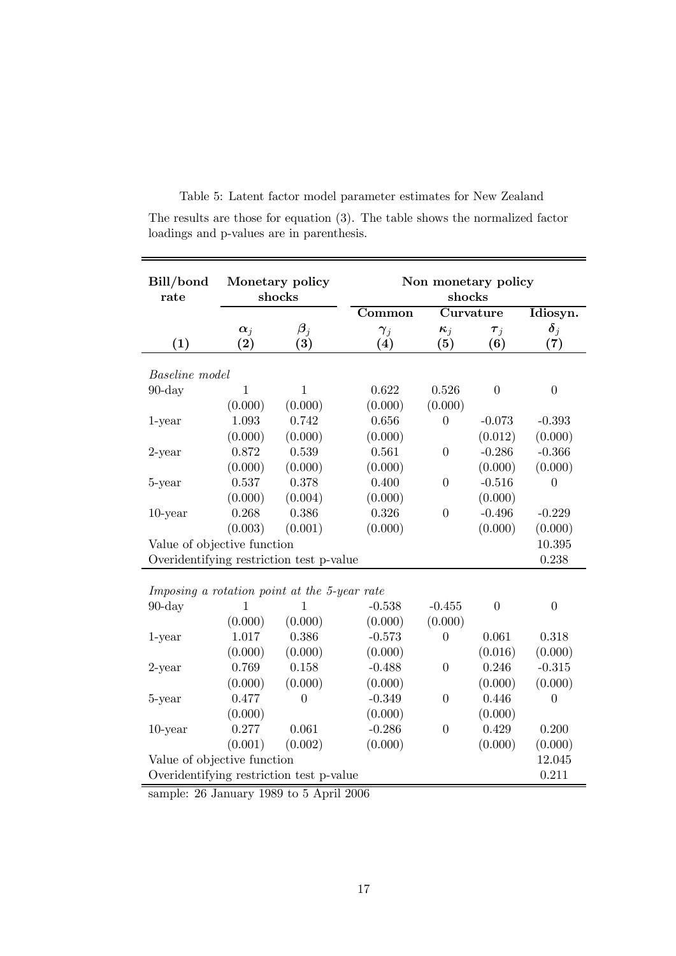| Bill/bond<br>rate                            | Monetary policy<br>shocks       |                               | Non monetary policy<br>shocks |                   |                  |                                |  |  |
|----------------------------------------------|---------------------------------|-------------------------------|-------------------------------|-------------------|------------------|--------------------------------|--|--|
|                                              |                                 |                               | Common                        |                   | Curvature        | Idiosyn.                       |  |  |
| (1)                                          | $\alpha_j$<br>$\left( 2\right)$ | $\boldsymbol{\beta}_i$<br>(3) | $\gamma_i$<br>(4)             | $\kappa_j$<br>(5) | $\tau_j$<br>(6)  | $\boldsymbol{\delta}_i$<br>(7) |  |  |
| <b>Baseline</b> model                        |                                 |                               |                               |                   |                  |                                |  |  |
| $90$ -day                                    | $\mathbf{1}$                    | $\mathbf{1}$                  | 0.622                         | 0.526             | $\boldsymbol{0}$ | $\overline{0}$                 |  |  |
|                                              | (0.000)                         | (0.000)                       | (0.000)                       | (0.000)           |                  |                                |  |  |
| $1$ -year                                    | 1.093                           | 0.742                         | 0.656                         | $\overline{0}$    | $-0.073$         | $-0.393$                       |  |  |
|                                              | (0.000)                         | (0.000)                       | (0.000)                       |                   | (0.012)          | (0.000)                        |  |  |
| $2$ -year                                    | 0.872                           | 0.539                         | 0.561                         | $\overline{0}$    | $-0.286$         | $-0.366$                       |  |  |
|                                              | (0.000)                         | (0.000)                       | (0.000)                       |                   | (0.000)          | (0.000)                        |  |  |
| 5-year                                       | 0.537                           | 0.378                         | 0.400                         | $\overline{0}$    | $-0.516$         | 0                              |  |  |
|                                              | (0.000)                         | (0.004)                       | (0.000)                       |                   | (0.000)          |                                |  |  |
| $10$ -year                                   | 0.268                           | 0.386                         | 0.326                         | $\overline{0}$    | $-0.496$         | $-0.229$                       |  |  |
|                                              | (0.003)                         | (0.001)                       | (0.000)                       |                   | (0.000)          | (0.000)                        |  |  |
|                                              | Value of objective function     |                               |                               |                   |                  |                                |  |  |
| Overidentifying restriction test p-value     |                                 |                               |                               |                   |                  | 0.238                          |  |  |
|                                              |                                 |                               |                               |                   |                  |                                |  |  |
| Imposing a rotation point at the 5-year rate |                                 |                               |                               |                   |                  |                                |  |  |
| $90$ -day                                    | 1                               | 1                             | $-0.538$                      | $-0.455$          | $\overline{0}$   | $\overline{0}$                 |  |  |
|                                              | (0.000)                         | (0.000)                       | (0.000)                       | (0.000)           |                  |                                |  |  |
| $1$ -year                                    | 1.017                           | 0.386                         | $-0.573$                      | $\overline{0}$    | 0.061            | 0.318                          |  |  |
|                                              | (0.000)                         | (0.000)                       | (0.000)                       |                   | (0.016)          | (0.000)                        |  |  |
| $2$ -year                                    | 0.769                           | 0.158                         | $-0.488$                      | $\theta$          | 0.246            | $-0.315$                       |  |  |
|                                              | (0.000)                         | (0.000)                       | (0.000)                       |                   | (0.000)          | (0.000)                        |  |  |
| 5-year                                       | 0.477                           | $\overline{0}$                | $-0.349$                      | $\overline{0}$    | 0.446            | $\overline{0}$                 |  |  |
|                                              | (0.000)                         |                               | (0.000)                       |                   | (0.000)          |                                |  |  |
| $10$ -year                                   | 0.277                           | 0.061                         | $-0.286$                      | $\overline{0}$    | 0.429            | 0.200                          |  |  |
|                                              | (0.001)                         | (0.002)                       | (0.000)                       |                   | (0.000)          | (0.000)                        |  |  |
| Value of objective function<br>12.045        |                                 |                               |                               |                   |                  |                                |  |  |
| Overidentifying restriction test p-value     |                                 |                               |                               |                   |                  | 0.211                          |  |  |

Table 5: Latent factor model parameter estimates for New Zealand The results are those for equation (3). The table shows the normalized factor loadings and p-values are in parenthesis.

sample: 26 January 1989 to 5 April 2006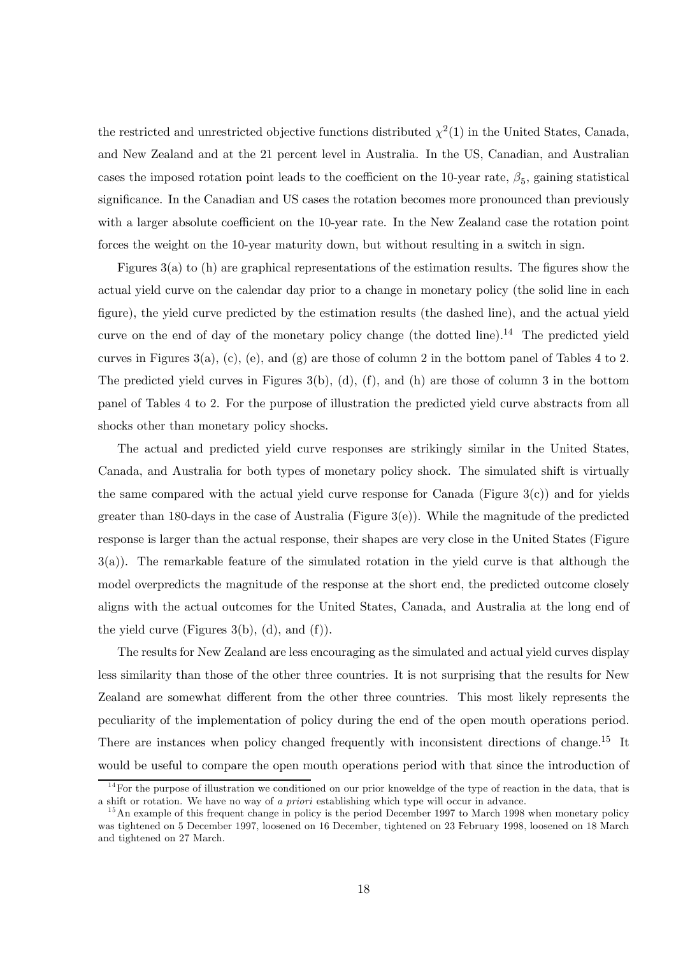the restricted and unrestricted objective functions distributed  $\chi^2(1)$  in the United States, Canada, and New Zealand and at the 21 percent level in Australia. In the US, Canadian, and Australian cases the imposed rotation point leads to the coefficient on the 10-year rate,  $\beta_5$ , gaining statistical significance. In the Canadian and US cases the rotation becomes more pronounced than previously with a larger absolute coefficient on the 10-year rate. In the New Zealand case the rotation point forces the weight on the 10-year maturity down, but without resulting in a switch in sign.

Figures 3(a) to (h) are graphical representations of the estimation results. The figures show the actual yield curve on the calendar day prior to a change in monetary policy (the solid line in each figure), the yield curve predicted by the estimation results (the dashed line), and the actual yield curve on the end of day of the monetary policy change (the dotted line).<sup>14</sup> The predicted yield curves in Figures 3(a), (c), (e), and (g) are those of column 2 in the bottom panel of Tables 4 to 2. The predicted yield curves in Figures  $3(b)$ , (d), (f), and (h) are those of column 3 in the bottom panel of Tables 4 to 2. For the purpose of illustration the predicted yield curve abstracts from all shocks other than monetary policy shocks.

The actual and predicted yield curve responses are strikingly similar in the United States, Canada, and Australia for both types of monetary policy shock. The simulated shift is virtually the same compared with the actual yield curve response for Canada (Figure  $3(c)$ ) and for yields greater than 180-days in the case of Australia (Figure  $3(e)$ ). While the magnitude of the predicted response is larger than the actual response, their shapes are very close in the United States (Figure 3(a)). The remarkable feature of the simulated rotation in the yield curve is that although the model overpredicts the magnitude of the response at the short end, the predicted outcome closely aligns with the actual outcomes for the United States, Canada, and Australia at the long end of the yield curve (Figures  $3(b)$ , (d), and (f)).

The results for New Zealand are less encouraging as the simulated and actual yield curves display less similarity than those of the other three countries. It is not surprising that the results for New Zealand are somewhat different from the other three countries. This most likely represents the peculiarity of the implementation of policy during the end of the open mouth operations period. There are instances when policy changed frequently with inconsistent directions of change.<sup>15</sup> It would be useful to compare the open mouth operations period with that since the introduction of

 $14$  For the purpose of illustration we conditioned on our prior knoweldge of the type of reaction in the data, that is a shift or rotation. We have no way of a priori establishing which type will occur in advance.

<sup>&</sup>lt;sup>15</sup> An example of this frequent change in policy is the period December 1997 to March 1998 when monetary policy was tightened on 5 December 1997, loosened on 16 December, tightened on 23 February 1998, loosened on 18 March and tightened on 27 March.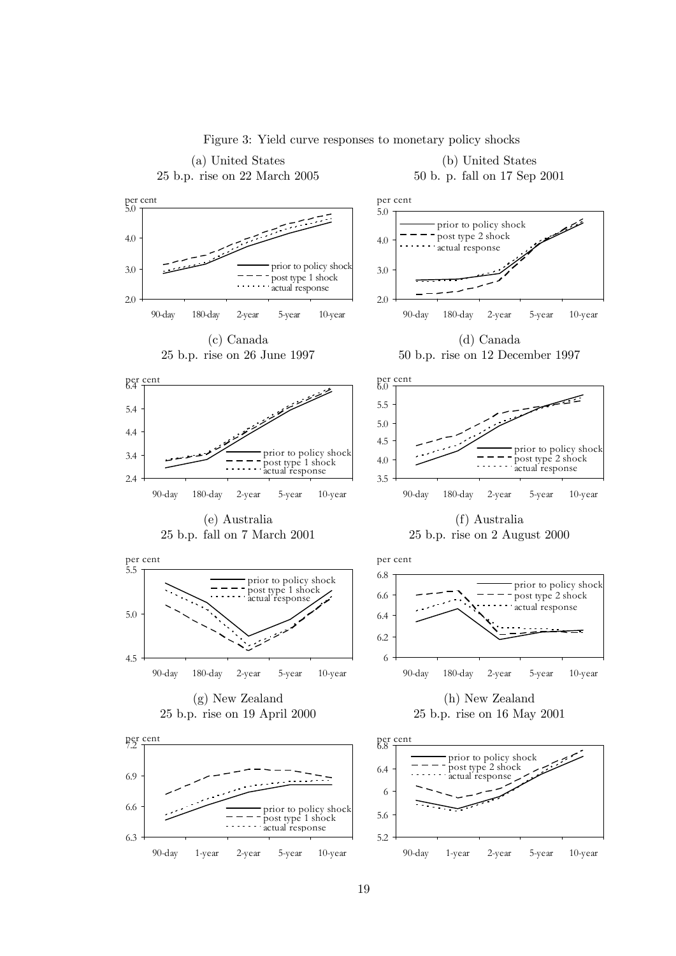

Figure 3: Yield curve responses to monetary policy shocks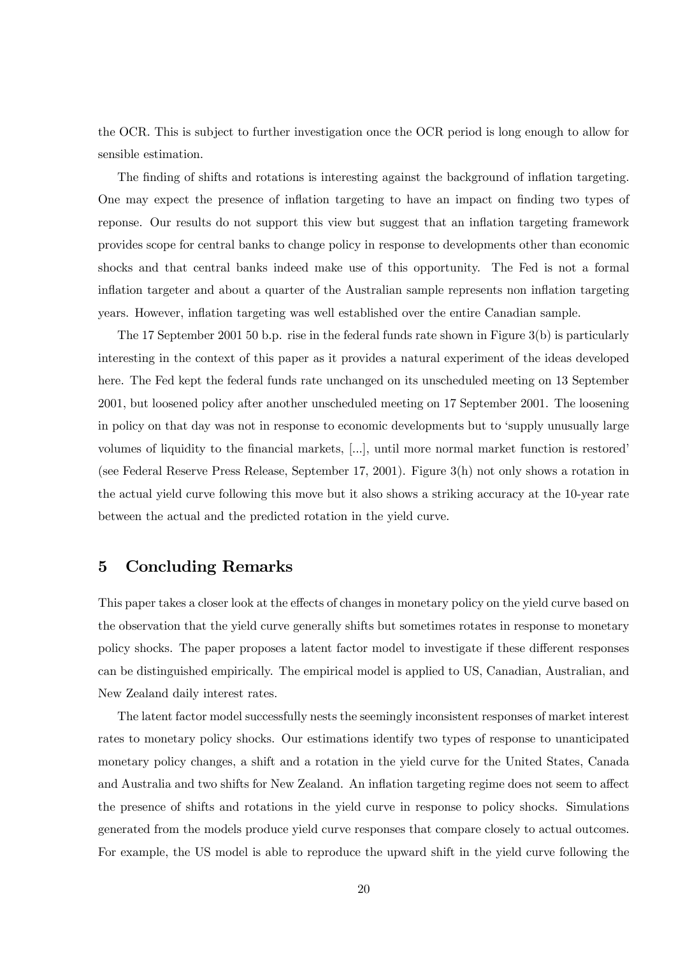the OCR. This is subject to further investigation once the OCR period is long enough to allow for sensible estimation.

The finding of shifts and rotations is interesting against the background of inflation targeting. One may expect the presence of inflation targeting to have an impact on finding two types of reponse. Our results do not support this view but suggest that an inflation targeting framework provides scope for central banks to change policy in response to developments other than economic shocks and that central banks indeed make use of this opportunity. The Fed is not a formal inflation targeter and about a quarter of the Australian sample represents non inflation targeting years. However, inflation targeting was well established over the entire Canadian sample.

The 17 September 2001 50 b.p. rise in the federal funds rate shown in Figure 3(b) is particularly interesting in the context of this paper as it provides a natural experiment of the ideas developed here. The Fed kept the federal funds rate unchanged on its unscheduled meeting on 13 September 2001, but loosened policy after another unscheduled meeting on 17 September 2001. The loosening in policy on that day was not in response to economic developments but to 'supply unusually large volumes of liquidity to the financial markets, [...], until more normal market function is restored' (see Federal Reserve Press Release, September 17, 2001). Figure 3(h) not only shows a rotation in the actual yield curve following this move but it also shows a striking accuracy at the 10-year rate between the actual and the predicted rotation in the yield curve.

## 5 Concluding Remarks

This paper takes a closer look at the effects of changes in monetary policy on the yield curve based on the observation that the yield curve generally shifts but sometimes rotates in response to monetary policy shocks. The paper proposes a latent factor model to investigate if these different responses can be distinguished empirically. The empirical model is applied to US, Canadian, Australian, and New Zealand daily interest rates.

The latent factor model successfully nests the seemingly inconsistent responses of market interest rates to monetary policy shocks. Our estimations identify two types of response to unanticipated monetary policy changes, a shift and a rotation in the yield curve for the United States, Canada and Australia and two shifts for New Zealand. An inflation targeting regime does not seem to affect the presence of shifts and rotations in the yield curve in response to policy shocks. Simulations generated from the models produce yield curve responses that compare closely to actual outcomes. For example, the US model is able to reproduce the upward shift in the yield curve following the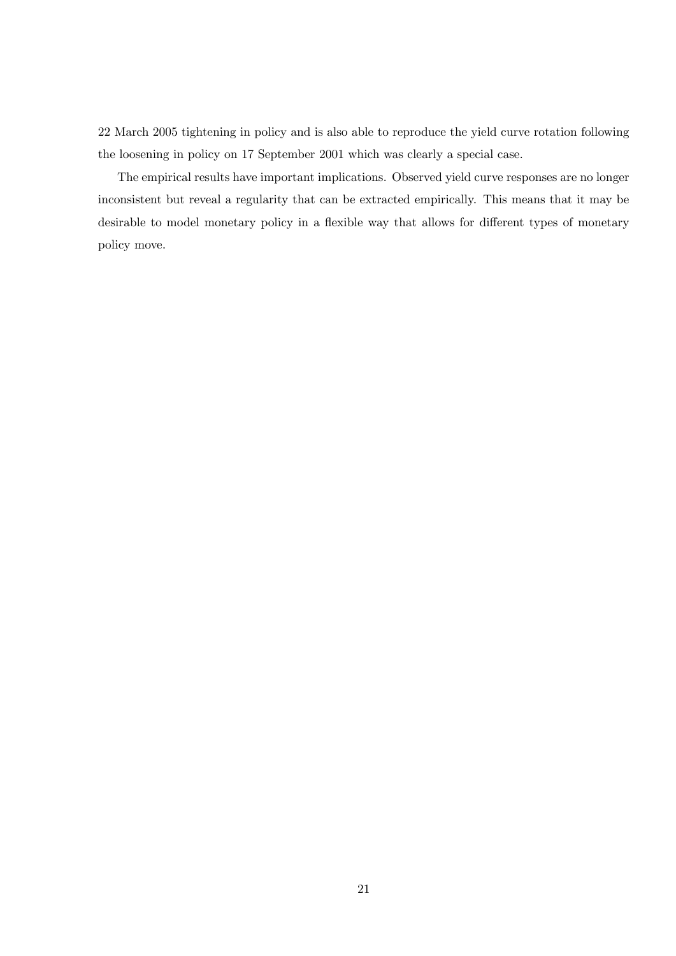22 March 2005 tightening in policy and is also able to reproduce the yield curve rotation following the loosening in policy on 17 September 2001 which was clearly a special case.

The empirical results have important implications. Observed yield curve responses are no longer inconsistent but reveal a regularity that can be extracted empirically. This means that it may be desirable to model monetary policy in a flexible way that allows for different types of monetary policy move.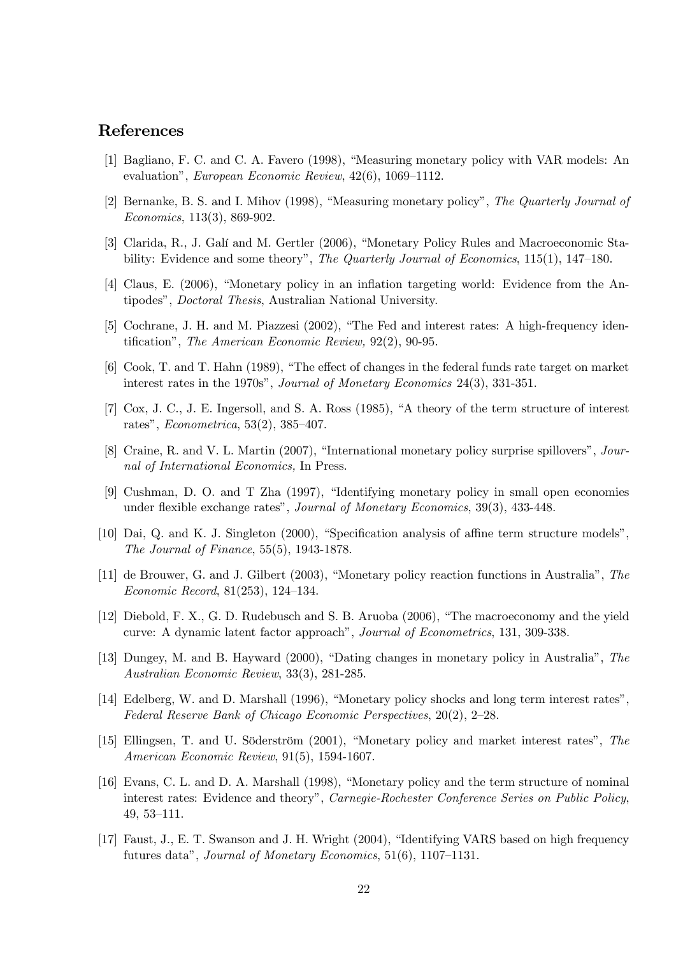## References

- [1] Bagliano, F. C. and C. A. Favero (1998), "Measuring monetary policy with VAR models: An evaluation", European Economic Review, 42(6), 1069—1112.
- [2] Bernanke, B. S. and I. Mihov (1998), "Measuring monetary policy", The Quarterly Journal of Economics, 113(3), 869-902.
- [3] Clarida, R., J. Galí and M. Gertler (2006), "Monetary Policy Rules and Macroeconomic Stability: Evidence and some theory", The Quarterly Journal of Economics, 115(1), 147-180.
- [4] Claus, E. (2006), "Monetary policy in an inflation targeting world: Evidence from the Antipodes", Doctoral Thesis, Australian National University.
- [5] Cochrane, J. H. and M. Piazzesi (2002), "The Fed and interest rates: A high-frequency identification", The American Economic Review, 92(2), 90-95.
- [6] Cook, T. and T. Hahn (1989), "The effect of changes in the federal funds rate target on market interest rates in the 1970s", Journal of Monetary Economics 24(3), 331-351.
- [7] Cox, J. C., J. E. Ingersoll, and S. A. Ross (1985), "A theory of the term structure of interest rates", Econometrica, 53(2), 385—407.
- [8] Craine, R. and V. L. Martin (2007), "International monetary policy surprise spillovers", Journal of International Economics, In Press.
- [9] Cushman, D. O. and T Zha (1997), "Identifying monetary policy in small open economies under flexible exchange rates", Journal of Monetary Economics, 39(3), 433-448.
- [10] Dai, Q. and K. J. Singleton (2000), "Specification analysis of affine term structure models", The Journal of Finance, 55(5), 1943-1878.
- [11] de Brouwer, G. and J. Gilbert (2003), "Monetary policy reaction functions in Australia", The Economic Record, 81(253), 124—134.
- [12] Diebold, F. X., G. D. Rudebusch and S. B. Aruoba (2006), "The macroeconomy and the yield curve: A dynamic latent factor approach", Journal of Econometrics, 131, 309-338.
- [13] Dungey, M. and B. Hayward (2000), "Dating changes in monetary policy in Australia", The Australian Economic Review, 33(3), 281-285.
- [14] Edelberg, W. and D. Marshall (1996), "Monetary policy shocks and long term interest rates", Federal Reserve Bank of Chicago Economic Perspectives, 20(2), 2—28.
- [15] Ellingsen, T. and U. Söderström (2001), "Monetary policy and market interest rates", The American Economic Review, 91(5), 1594-1607.
- [16] Evans, C. L. and D. A. Marshall (1998), "Monetary policy and the term structure of nominal interest rates: Evidence and theory", Carnegie-Rochester Conference Series on Public Policy, 49, 53—111.
- [17] Faust, J., E. T. Swanson and J. H. Wright (2004), "Identifying VARS based on high frequency futures data", Journal of Monetary Economics, 51(6), 1107—1131.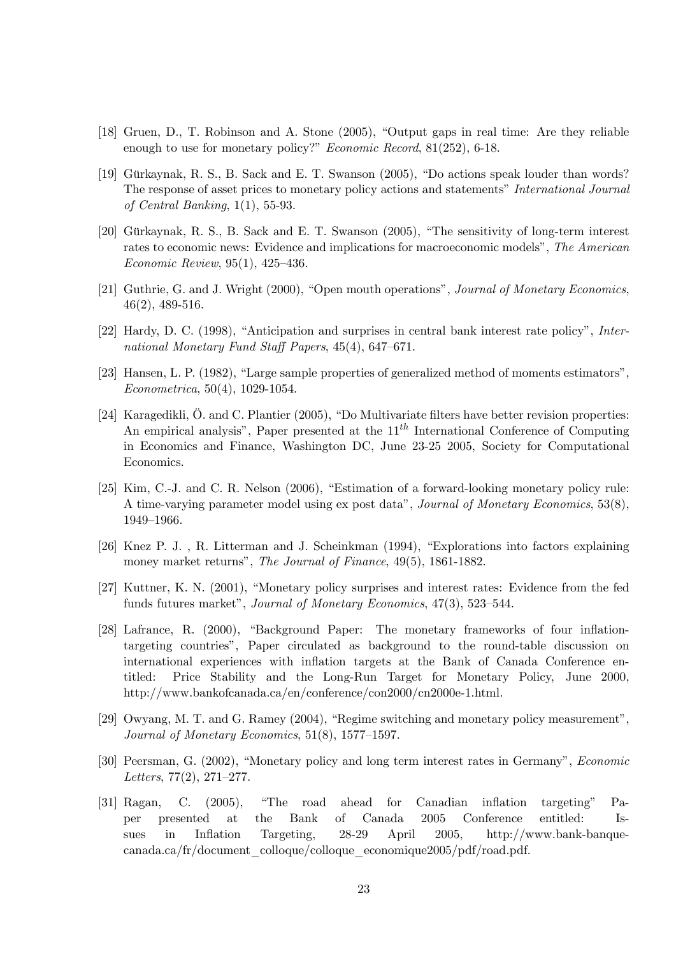- [18] Gruen, D., T. Robinson and A. Stone (2005), "Output gaps in real time: Are they reliable enough to use for monetary policy?" *Economic Record*, 81(252), 6-18.
- [19] Gürkaynak, R. S., B. Sack and E. T. Swanson (2005), "Do actions speak louder than words? The response of asset prices to monetary policy actions and statements" International Journal of Central Banking, 1(1), 55-93.
- [20] Gürkaynak, R. S., B. Sack and E. T. Swanson (2005), "The sensitivity of long-term interest rates to economic news: Evidence and implications for macroeconomic models", The American Economic Review, 95(1), 425—436.
- [21] Guthrie, G. and J. Wright (2000), "Open mouth operations", Journal of Monetary Economics, 46(2), 489-516.
- [22] Hardy, D. C. (1998), "Anticipation and surprises in central bank interest rate policy", International Monetary Fund Staff Papers, 45(4), 647—671.
- [23] Hansen, L. P. (1982), "Large sample properties of generalized method of moments estimators", Econometrica, 50(4), 1029-1054.
- [24] Karagedikli, Ö. and C. Plantier (2005), "Do Multivariate filters have better revision properties: An empirical analysis", Paper presented at the  $11<sup>th</sup>$  International Conference of Computing in Economics and Finance, Washington DC, June 23-25 2005, Society for Computational Economics.
- [25] Kim, C.-J. and C. R. Nelson (2006), "Estimation of a forward-looking monetary policy rule: A time-varying parameter model using ex post data", Journal of Monetary Economics, 53(8), 1949—1966.
- [26] Knez P. J. , R. Litterman and J. Scheinkman (1994), "Explorations into factors explaining money market returns", The Journal of Finance, 49(5), 1861-1882.
- [27] Kuttner, K. N. (2001), "Monetary policy surprises and interest rates: Evidence from the fed funds futures market", Journal of Monetary Economics, 47(3), 523—544.
- [28] Lafrance, R. (2000), "Background Paper: The monetary frameworks of four inflationtargeting countries", Paper circulated as background to the round-table discussion on international experiences with inflation targets at the Bank of Canada Conference entitled: Price Stability and the Long-Run Target for Monetary Policy, June 2000, http://www.bankofcanada.ca/en/conference/con2000/cn2000e-1.html.
- [29] Owyang, M. T. and G. Ramey (2004), "Regime switching and monetary policy measurement", Journal of Monetary Economics, 51(8), 1577—1597.
- [30] Peersman, G. (2002), "Monetary policy and long term interest rates in Germany", Economic Letters, 77(2), 271—277.
- [31] Ragan, C. (2005), "The road ahead for Canadian inflation targeting" Paper presented at the Bank of Canada 2005 Conference entitled: Issues in Inflation Targeting, 28-29 April 2005, http://www.bank-banquecanada.ca/fr/document\_colloque/colloque\_economique2005/pdf/road.pdf.